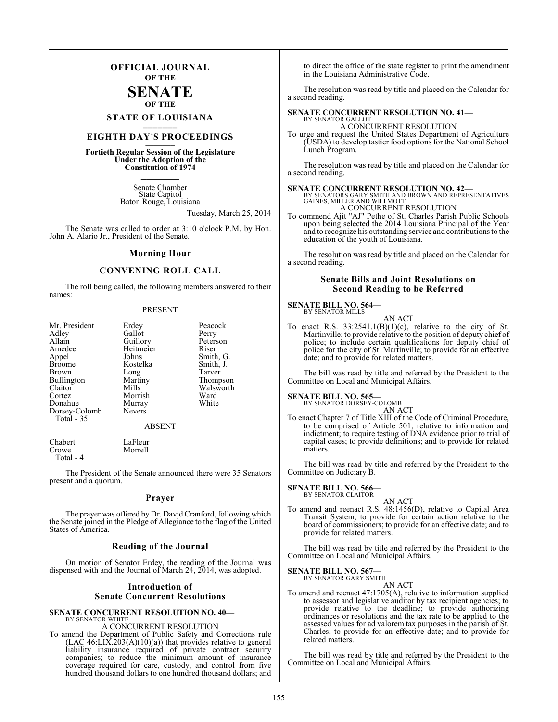## **OFFICIAL JOURNAL OF THE**

### **SENATE OF THE**

## **STATE OF LOUISIANA \_\_\_\_\_\_\_**

## **EIGHTH DAY'S PROCEEDINGS \_\_\_\_\_\_\_**

**Fortieth Regular Session of the Legislature Under the Adoption of the Constitution of 1974 \_\_\_\_\_\_\_**

> Senate Chamber State Capitol Baton Rouge, Louisiana

> > Tuesday, March 25, 2014

The Senate was called to order at 3:10 o'clock P.M. by Hon. John A. Alario Jr., President of the Senate.

#### **Morning Hour**

#### **CONVENING ROLL CALL**

The roll being called, the following members answered to their names:

#### PRESENT

| Mr. President | Erdey         | Peacock   |
|---------------|---------------|-----------|
| Adley         | Gallot        | Perry     |
| Allain        | Guillory      | Peterson  |
| Amedee        | Heitmeier     | Riser     |
| Appel         | Johns         | Smith, G. |
| <b>Broome</b> | Kostelka      | Smith, J. |
| <b>Brown</b>  | Long          | Tarver    |
| Buffington    | Martiny       | Thompson  |
| Claitor       | Mills         | Walsworth |
| Cortez        | Morrish       | Ward      |
| Donahue       | Murray        | White     |
| Dorsey-Colomb | <b>Nevers</b> |           |
| Total - 35    |               |           |
|               | <b>ABSENT</b> |           |

Morrell

Chabert LaFleur Total - 4

The President of the Senate announced there were 35 Senators present and a quorum.

#### **Prayer**

The prayer was offered by Dr. David Cranford, following which the Senate joined in the Pledge of Allegiance to the flag of the United States of America.

#### **Reading of the Journal**

On motion of Senator Erdey, the reading of the Journal was dispensed with and the Journal of March 24, 2014, was adopted.

### **Introduction of Senate Concurrent Resolutions**

#### **SENATE CONCURRENT RESOLUTION NO. 40—** BY SENATOR WHITE

A CONCURRENT RESOLUTION

To amend the Department of Public Safety and Corrections rule  $(LAC 46: LIX.203(A)(10)(a))$  that provides relative to general liability insurance required of private contract security companies; to reduce the minimum amount of insurance coverage required for care, custody, and control from five hundred thousand dollars to one hundred thousand dollars; and

to direct the office of the state register to print the amendment in the Louisiana Administrative Code.

The resolution was read by title and placed on the Calendar for a second reading.

#### **SENATE CONCURRENT RESOLUTION NO. 41—** BY SENATOR GALLOT

A CONCURRENT RESOLUTION

To urge and request the United States Department of Agriculture (USDA) to develop tastier food options for the National School Lunch Program.

The resolution was read by title and placed on the Calendar for a second reading.

**SENATE CONCURRENT RESOLUTION NO. 42—**<br>BY SENATORS GARY SMITH AND BROWN AND REPRESENTATIVES<br>GAINES, MILLER AND WILLMOTT A CONCURRENT RESOLUTION

To commend Ajit "AJ" Pethe of St. Charles Parish Public Schools upon being selected the 2014 Louisiana Principal of the Year and to recognize his outstanding service and contributions to the education of the youth of Louisiana.

The resolution was read by title and placed on the Calendar for a second reading.

#### **Senate Bills and Joint Resolutions on Second Reading to be Referred**

#### **SENATE BILL NO. 564—** BY SENATOR MILLS

AN ACT

To enact R.S.  $33:2541.1(B)(1)(c)$ , relative to the city of St. Martinville; to provide relative to the position of deputy chief of police; to include certain qualifications for deputy chief of police for the city of St. Martinville; to provide for an effective date; and to provide for related matters.

The bill was read by title and referred by the President to the Committee on Local and Municipal Affairs.

#### **SENATE BILL NO. 565—**

BY SENATOR DORSEY-COLOMB

AN ACT To enact Chapter 7 of Title XIII of the Code of Criminal Procedure, to be comprised of Article 501, relative to information and indictment; to require testing of DNA evidence prior to trial of capital cases; to provide definitions; and to provide for related matters.

The bill was read by title and referred by the President to the Committee on Judiciary B.

#### **SENATE BILL NO. 566—**

BY SENATOR CLAITOR

AN ACT

To amend and reenact R.S. 48:1456(D), relative to Capital Area Transit System; to provide for certain action relative to the board of commissioners; to provide for an effective date; and to provide for related matters.

The bill was read by title and referred by the President to the Committee on Local and Municipal Affairs.

## **SENATE BILL NO. 567—**<br>BY SENATOR GARY SMITH

AN ACT

To amend and reenact 47:1705(A), relative to information supplied to assessor and legislative auditor by tax recipient agencies; to provide relative to the deadline; to provide authorizing ordinances or resolutions and the tax rate to be applied to the assessed values for ad valorem tax purposes in the parish of St. Charles; to provide for an effective date; and to provide for related matters.

The bill was read by title and referred by the President to the Committee on Local and Municipal Affairs.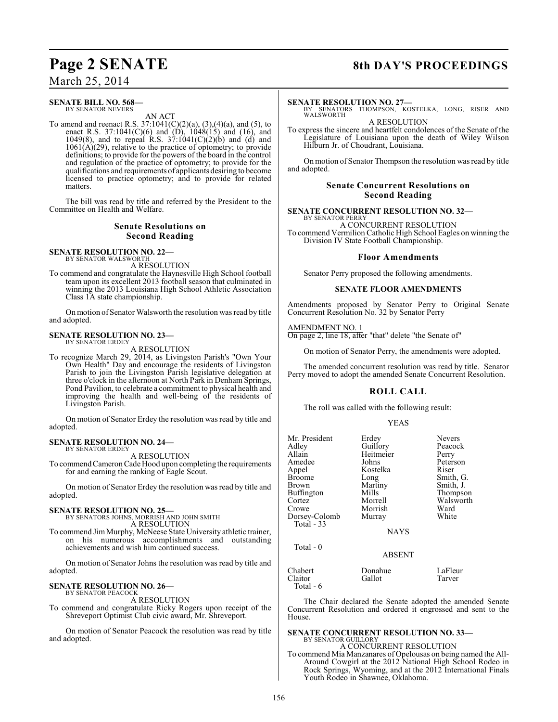## March 25, 2014

#### **SENATE BILL NO. 568—** BY SENATOR NEVERS

AN ACT

To amend and reenact R.S.  $37:1041(C)(2)(a)$ ,  $(3),(4)(a)$ , and  $(5)$ , to enact R.S. 37:1041(C)(6) and  $(D)$ , 1048(15) and (16), and 1049(8), and to repeal R.S.  $37:1041(C)(2)(b)$  and (d) and  $1061(A)(29)$ , relative to the practice of optometry; to provide definitions; to provide for the powers of the board in the control and regulation of the practice of optometry; to provide for the qualifications and requirements of applicants desiring to become licensed to practice optometry; and to provide for related matters.

The bill was read by title and referred by the President to the Committee on Health and Welfare.

### **Senate Resolutions on Second Reading**

#### **SENATE RESOLUTION NO. 22—** BY SENATOR WALSWORTH

A RESOLUTION

To commend and congratulate the Haynesville High School football team upon its excellent 2013 football season that culminated in winning the 2013 Louisiana High School Athletic Association Class 1A state championship.

On motion of Senator Walsworth the resolution was read by title and adopted.

#### **SENATE RESOLUTION NO. 23—** BY SENATOR ERDEY

A RESOLUTION

To recognize March 29, 2014, as Livingston Parish's "Own Your Own Health" Day and encourage the residents of Livingston Parish to join the Livingston Parish legislative delegation at three o'clock in the afternoon at North Park in Denham Springs, Pond Pavilion, to celebrate a commitment to physical health and improving the health and well-being of the residents of Livingston Parish.

On motion of Senator Erdey the resolution was read by title and adopted.

#### **SENATE RESOLUTION NO. 24—** BY SENATOR ERDEY

A RESOLUTION

To commend Cameron Cade Hood upon completing the requirements for and earning the ranking of Eagle Scout.

On motion of Senator Erdey the resolution was read by title and adopted.

## **SENATE RESOLUTION NO. 25—** BY SENATORS JOHNS, MORRISH AND JOHN SMITH

A RESOLUTION

To commend JimMurphy, McNeese State University athletic trainer, on his numerous accomplishments and outstanding achievements and wish him continued success.

On motion of Senator Johns the resolution was read by title and adopted.

#### **SENATE RESOLUTION NO. 26—** BY SENATOR PEACOCK

A RESOLUTION

To commend and congratulate Ricky Rogers upon receipt of the Shreveport Optimist Club civic award, Mr. Shreveport.

On motion of Senator Peacock the resolution was read by title and adopted.

## **Page 2 SENATE** 8th DAY'S PROCEEDINGS

#### **SENATE RESOLUTION NO. 27—**

BY SENATORS THOMPSON, KOSTELKA, LONG, RISER AND **WALSWORTH** 

A RESOLUTION To express the sincere and heartfelt condolences of the Senate of the Legislature of Louisiana upon the death of Wiley Wilson Hilburn Jr. of Choudrant, Louisiana.

On motion of Senator Thompson the resolution was read by title and adopted.

### **Senate Concurrent Resolutions on Second Reading**

**SENATE CONCURRENT RESOLUTION NO. 32—**

BY SENATOR PERRY A CONCURRENT RESOLUTION To commend Vermilion Catholic High School Eagles on winning the Division IV State Football Championship.

#### **Floor Amendments**

Senator Perry proposed the following amendments.

#### **SENATE FLOOR AMENDMENTS**

Amendments proposed by Senator Perry to Original Senate Concurrent Resolution No. 32 by Senator Perry

#### AMENDMENT NO. 1

On page 2, line 18, after "that" delete "the Senate of"

On motion of Senator Perry, the amendments were adopted.

The amended concurrent resolution was read by title. Senator Perry moved to adopt the amended Senate Concurrent Resolution.

### **ROLL CALL**

The roll was called with the following result:

| Mr. President<br>Adley<br>Allain<br>Amedee<br>Appel<br><b>Broome</b><br>Brown<br>Buffington<br>Cortez<br>Crowe<br>Dorsey-Colomb<br>Total - 33 | Erdey<br>Guillory<br>Heitmeier<br>Johns<br>Kostelka<br>Long<br>Martiny<br>Mills<br>Morrell<br>Morrish<br>Murray<br><b>NAYS</b> | <b>Nevers</b><br>Peacock<br>Perry<br>Peterson<br>Riser<br>Smith, G.<br>Smith, J.<br>Thompson<br>Walsworth<br>Ward<br>White |
|-----------------------------------------------------------------------------------------------------------------------------------------------|--------------------------------------------------------------------------------------------------------------------------------|----------------------------------------------------------------------------------------------------------------------------|
| Total $-0$                                                                                                                                    | <b>ABSENT</b>                                                                                                                  |                                                                                                                            |
| Chabert                                                                                                                                       | Donahue                                                                                                                        | LaFleur                                                                                                                    |

Claitor Gallot Tarver Total - 6

The Chair declared the Senate adopted the amended Senate Concurrent Resolution and ordered it engrossed and sent to the House.

#### **SENATE CONCURRENT RESOLUTION NO. 33—** BY SENATOR GUILLORY

A CONCURRENT RESOLUTION

To commend Mia Manzanares of Opelousas on being named the All-Around Cowgirl at the 2012 National High School Rodeo in Rock Springs, Wyoming, and at the 2012 International Finals Youth Rodeo in Shawnee, Oklahoma.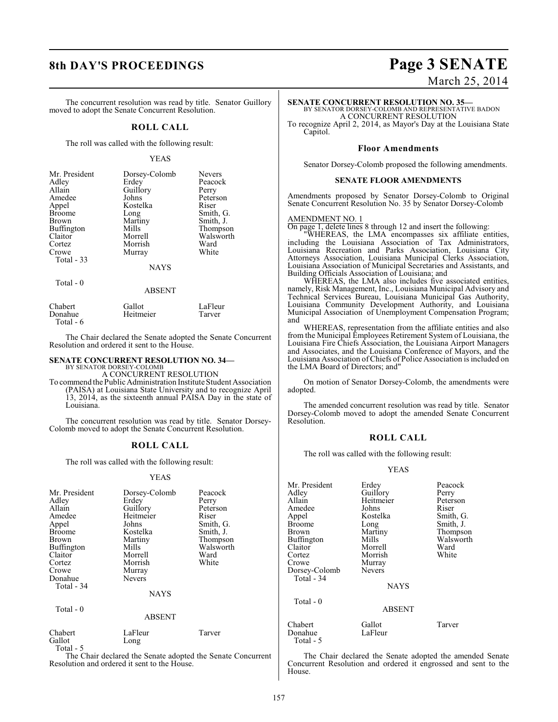## **8th DAY'S PROCEEDINGS Page 3 SENATE**

The concurrent resolution was read by title. Senator Guillory moved to adopt the Senate Concurrent Resolution.

#### **ROLL CALL**

The roll was called with the following result:

#### YEAS

| Mr. President | Dorsey-Colomb | <b>Nevers</b> |
|---------------|---------------|---------------|
| Adley         | Erdey         | Peacock       |
| Allain        | Guillory      | Perry         |
| Amedee        | Johns         | Peterson      |
| Appel         | Kostelka      | Riser         |
| <b>Broome</b> | Long          | Smith, G.     |
| <b>Brown</b>  | Martiny       | Smith, J.     |
| Buffington    | Mills         | Thompson      |
| Claitor       | Morrell       | Walsworth     |
| Cortez        | Morrish       | Ward          |
| Crowe         | Murray        | White         |
| Total - 33    |               |               |
|               | <b>NAYS</b>   |               |

Total - 0

#### ABSENT

| Chabert   | Gallot    | LaFleur |
|-----------|-----------|---------|
| Donahue   | Heitmeier | Tarver  |
| Total - 6 |           |         |

The Chair declared the Senate adopted the Senate Concurrent Resolution and ordered it sent to the House.

#### **SENATE CONCURRENT RESOLUTION NO. 34—** BY SENATOR DORSEY-COLOMB

A CONCURRENT RESOLUTION

To commend the Public Administration Institute Student Association (PAISA) at Louisiana State University and to recognize April 13, 2014, as the sixteenth annual PAISA Day in the state of Louisiana.

The concurrent resolution was read by title. Senator Dorsey-Colomb moved to adopt the Senate Concurrent Resolution.

#### **ROLL CALL**

The roll was called with the following result:

#### YEAS

| Mr. President<br>Adley<br>Allain<br>Amedee<br>Appel<br>Broome<br>Brown<br>Buffington<br>Claitor<br>Cortez<br>Crowe<br>Donahue<br>Total - 34<br>Total - 0 | Dorsey-Colomb<br>Erdey<br>Guillory<br>Heitmeier<br>Johns<br>Kostelka<br>Martiny<br>Mills<br>Morrell<br>Morrish<br>Murray<br><b>Nevers</b><br><b>NAYS</b> | Peacock<br>Perry<br>Peterson<br>Riser<br>Smith, G.<br>Smith, J.<br>Thompson<br>Walsworth<br>Ward<br>White |
|----------------------------------------------------------------------------------------------------------------------------------------------------------|----------------------------------------------------------------------------------------------------------------------------------------------------------|-----------------------------------------------------------------------------------------------------------|
|                                                                                                                                                          | <b>ABSENT</b>                                                                                                                                            |                                                                                                           |
| Chabert<br>Gallot                                                                                                                                        | LaFleur<br>Long                                                                                                                                          | Tarver                                                                                                    |

Total - 5

The Chair declared the Senate adopted the Senate Concurrent Resolution and ordered it sent to the House.

# March 25, 2014

## **SENATE CONCURRENT RESOLUTION NO. 35—** BY SENATOR DORSEY-COLOMB AND REPRESENTATIVE BADON

A CONCURRENT RESOLUTION

To recognize April 2, 2014, as Mayor's Day at the Louisiana State Capitol.

#### **Floor Amendments**

Senator Dorsey-Colomb proposed the following amendments.

#### **SENATE FLOOR AMENDMENTS**

Amendments proposed by Senator Dorsey-Colomb to Original Senate Concurrent Resolution No. 35 by Senator Dorsey-Colomb

#### AMENDMENT NO. 1

On page 1, delete lines 8 through 12 and insert the following:

"WHEREAS, the LMA encompasses six affiliate entities, including the Louisiana Association of Tax Administrators, Louisiana Recreation and Parks Association, Louisiana City Attorneys Association, Louisiana Municipal Clerks Association, Louisiana Association of Municipal Secretaries and Assistants, and Building Officials Association of Louisiana; and

WHEREAS, the LMA also includes five associated entities, namely, Risk Management, Inc., Louisiana Municipal Advisory and Technical Services Bureau, Louisiana Municipal Gas Authority, Louisiana Community Development Authority, and Louisiana Municipal Association of Unemployment Compensation Program; and

WHEREAS, representation from the affiliate entities and also from the Municipal Employees Retirement System of Louisiana, the Louisiana Fire Chiefs Association, the Louisiana Airport Managers and Associates, and the Louisiana Conference of Mayors, and the Louisiana Association of Chiefs of Police Association is included on the LMA Board of Directors; and"

On motion of Senator Dorsey-Colomb, the amendments were adopted.

The amended concurrent resolution was read by title. Senator Dorsey-Colomb moved to adopt the amended Senate Concurrent Resolution.

#### **ROLL CALL**

The roll was called with the following result:

#### YEAS

| Mr. President<br>Adley | Erdey<br>Guillory | Peacock<br>Perry |
|------------------------|-------------------|------------------|
| Allain                 | Heitmeier         | Peterson         |
| Amedee                 | Johns             | Riser            |
| Appel                  | Kostelka          | Smith, G.        |
| <b>Broome</b>          | Long              | Smith, J.        |
| Brown                  | Martiny           | Thompson         |
| Buffington             | Mills             | Walsworth        |
| Claitor                | Morrell           | Ward             |
| Cortez                 | Morrish           | White            |
| Crowe                  | Murray            |                  |
| Dorsey-Colomb          | Nevers            |                  |
| Total - 34             |                   |                  |
|                        | <b>NAYS</b>       |                  |
| Total - 0              |                   |                  |
|                        | <b>ABSENT</b>     |                  |
| Chabert                | Gallot            | Tarver           |
| Donahue                | LaFleur           |                  |
| Total - 5              |                   |                  |

The Chair declared the Senate adopted the amended Senate Concurrent Resolution and ordered it engrossed and sent to the House.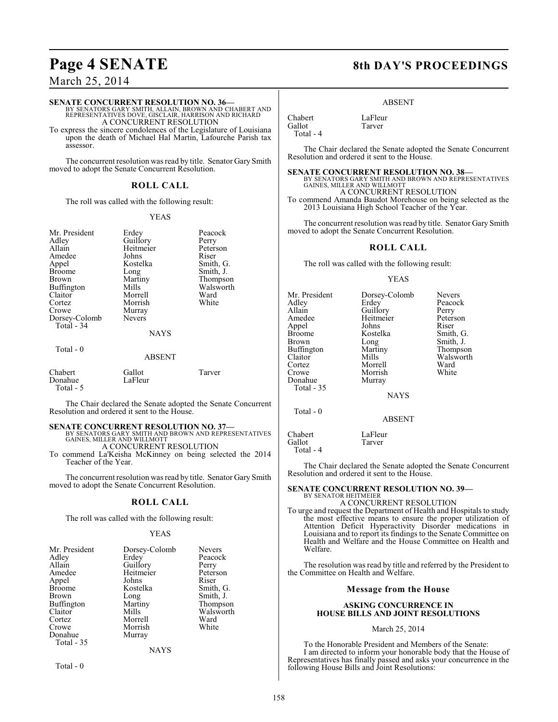## March 25, 2014

**SENATE CONCURRENT RESOLUTION NO. 36—** BY SENATORS GARY SMITH, ALLAIN, BROWN AND CHABERT AND REPRESENTATIVES DOVE, GISCLAIR, HARRISON AND RICHARD A CONCURRENT RESOLUTION

To express the sincere condolences of the Legislature of Louisiana upon the death of Michael Hal Martin, Lafourche Parish tax assessor.

The concurrent resolution was read by title. Senator Gary Smith moved to adopt the Senate Concurrent Resolution.

#### **ROLL CALL**

The roll was called with the following result:

#### YEAS

| Mr. President<br>Adley<br>Allain<br>Amedee<br>Appel<br><b>Broome</b><br>Brown<br><b>Buffington</b><br>Claitor<br>Cortez<br>Crowe<br>Dorsey-Colomb<br>Total - 34 | Erdey<br>Guillory<br>Heitmeier<br>Johns<br>Kostelka<br>Long<br>Martiny<br>Mills<br>Morrell<br>Morrish<br>Murray<br><b>Nevers</b><br><b>NAYS</b> | Peacock<br>Perry<br>Peterson<br>Riser<br>Smith, G.<br>Smith, J.<br>Thompson<br>Walsworth<br>Ward<br>White |
|-----------------------------------------------------------------------------------------------------------------------------------------------------------------|-------------------------------------------------------------------------------------------------------------------------------------------------|-----------------------------------------------------------------------------------------------------------|
| Total - 0                                                                                                                                                       | <b>ABSENT</b>                                                                                                                                   |                                                                                                           |
| Chabert<br>Donahue<br>Total - 5                                                                                                                                 | Gallot<br>LaFleur                                                                                                                               | Tarver                                                                                                    |

The Chair declared the Senate adopted the Senate Concurrent Resolution and ordered it sent to the House.

**SENATE CONCURRENT RESOLUTION NO. 37—BY SENATORS GARY SMITH AND BROWN AND REPRESENTATIVES**<br>GAINES, MILLER AND WILLMOTT A CONCURRENT RESOLUTION

To commend La'Keisha McKinney on being selected the 2014 Teacher of the Year.

The concurrent resolution was read by title. Senator Gary Smith moved to adopt the Senate Concurrent Resolution.

#### **ROLL CALL**

The roll was called with the following result:

#### YEAS

| Mr. President | Dorsey-Colomb | <b>Nevers</b> |
|---------------|---------------|---------------|
| Adley         | Erdey         | Peacock       |
| Allain        | Guillory      | Perry         |
| Amedee        | Heitmeier     | Peterson      |
| Appel         | Johns         | Riser         |
| <b>Broome</b> | Kostelka      | Smith, G.     |
| <b>Brown</b>  | Long          | Smith, J.     |
| Buffington    | Martiny       | Thompson      |
| Claitor       | Mills         | Walsworth     |
| Cortez        | Morrell       | Ward          |
| Crowe         | Morrish       | White         |
| Donahue       | Murray        |               |
| Total - 35    |               |               |
|               | <b>NAYS</b>   |               |

Total - 0

## **Page 4 SENATE** 8th DAY'S PROCEEDINGS

#### ABSENT

Chabert LaFleur<br>Gallot Tarver Gallot Total - 4

The Chair declared the Senate adopted the Senate Concurrent Resolution and ordered it sent to the House.

#### **SENATE CONCURRENT RESOLUTION NO. 38—**

BY SENATORS GARY SMITH AND BROWN AND REPRESENTATIVES GAINES, MILLER AND WILLMOTT A CONCURRENT RESOLUTION To commend Amanda Baudot Morehouse on being selected as the 2013 Louisiana High School Teacher of the Year.

The concurrent resolution was read by title. Senator Gary Smith moved to adopt the Senate Concurrent Resolution.

#### **ROLL CALL**

The roll was called with the following result:

#### YEAS

| Mr. President<br>Adlev<br>Allain<br>Amedee<br>Appel<br>Broome<br>Brown<br>Buffington<br>Claitor<br>Cortez<br>Crowe<br>Donahue<br>Total - 35 | Dorsey-Colomb<br>Erdey<br>Guillory<br>Heitmeier<br>Johns<br>Kostelka<br>Long<br>Martiny<br>Mills<br>Morrell<br>Morrish<br>Murray<br><b>NAYS</b> | <b>Nevers</b><br>Peacock<br>Perry<br>Peterson<br>Riser<br>Smith, G.<br>Smith, J.<br>Thompson<br>Walsworth<br>Ward<br>White |
|---------------------------------------------------------------------------------------------------------------------------------------------|-------------------------------------------------------------------------------------------------------------------------------------------------|----------------------------------------------------------------------------------------------------------------------------|
| Total - 0                                                                                                                                   |                                                                                                                                                 |                                                                                                                            |

Chabert LaFleur<br>Gallot Tarver Gallot Total - 4

The Chair declared the Senate adopted the Senate Concurrent Resolution and ordered it sent to the House.

ABSENT

#### **SENATE CONCURRENT RESOLUTION NO. 39—** BY SENATOR HEITMEIER

A CONCURRENT RESOLUTION

To urge and request the Department of Health and Hospitals to study the most effective means to ensure the proper utilization of Attention Deficit Hyperactivity Disorder medications in Louisiana and to report its findings to the Senate Committee on Health and Welfare and the House Committee on Health and Welfare.

The resolution was read by title and referred by the President to the Committee on Health and Welfare.

#### **Message from the House**

#### **ASKING CONCURRENCE IN HOUSE BILLS AND JOINT RESOLUTIONS**

#### March 25, 2014

To the Honorable President and Members of the Senate: I am directed to inform your honorable body that the House of Representatives has finally passed and asks your concurrence in the following House Bills and Joint Resolutions: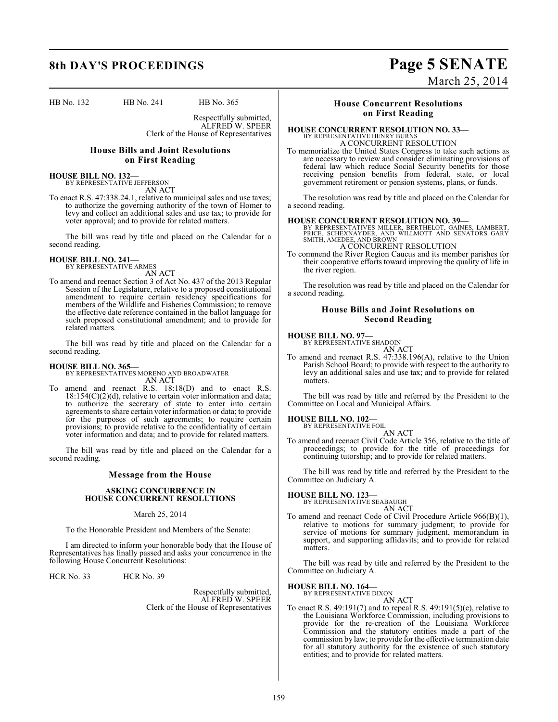HB No. 132 HB No. 241 HB No. 365

Respectfully submitted, ALFRED W. SPEER Clerk of the House of Representatives

### **House Bills and Joint Resolutions on First Reading**

**HOUSE BILL NO. 132—** BY REPRESENTATIVE JEFFERSON AN ACT

To enact R.S. 47:338.24.1, relative to municipal sales and use taxes; to authorize the governing authority of the town of Homer to levy and collect an additional sales and use tax; to provide for voter approval; and to provide for related matters.

The bill was read by title and placed on the Calendar for a second reading.

#### **HOUSE BILL NO. 241—** BY REPRESENTATIVE ARMES

AN ACT

To amend and reenact Section 3 of Act No. 437 of the 2013 Regular Session of the Legislature, relative to a proposed constitutional amendment to require certain residency specifications for members of the Wildlife and Fisheries Commission; to remove the effective date reference contained in the ballot language for such proposed constitutional amendment; and to provide for related matters.

The bill was read by title and placed on the Calendar for a second reading.

#### **HOUSE BILL NO. 365—**

BY REPRESENTATIVES MORENO AND BROADWATER AN ACT

To amend and reenact R.S. 18:18(D) and to enact R.S. 18:154(C)(2)(d), relative to certain voter information and data; to authorize the secretary of state to enter into certain agreements to share certain voter information or data; to provide for the purposes of such agreements; to require certain provisions; to provide relative to the confidentiality of certain voter information and data; and to provide for related matters.

The bill was read by title and placed on the Calendar for a second reading.

#### **Message from the House**

#### **ASKING CONCURRENCE IN HOUSE CONCURRENT RESOLUTIONS**

#### March 25, 2014

To the Honorable President and Members of the Senate:

I am directed to inform your honorable body that the House of Representatives has finally passed and asks your concurrence in the following House Concurrent Resolutions:

HCR No. 33 HCR No. 39

Respectfully submitted, ALFRED W. SPEER Clerk of the House of Representatives

### **House Concurrent Resolutions on First Reading**

#### **HOUSE CONCURRENT RESOLUTION NO. 33—** BY REPRESENTATIVE HENRY BURNS

A CONCURRENT RESOLUTION

To memorialize the United States Congress to take such actions as are necessary to review and consider eliminating provisions of federal law which reduce Social Security benefits for those receiving pension benefits from federal, state, or local government retirement or pension systems, plans, or funds.

The resolution was read by title and placed on the Calendar for a second reading.

**HOUSE CONCURRENT RESOLUTION NO. 39—**<br>
BY REPRESENTATIVES MILLER, BERTHELOT, GAINES, LAMBERT,<br>
PRICE, SCHEXNAYDER, AND WILLMOTT AND SENATORS GARY<br>
SMITH, AMEDEE, AND BROWN<br>
A CONCURRENT RESOLUTION

To commend the River Region Caucus and its member parishes for their cooperative efforts toward improving the quality of life in the river region.

The resolution was read by title and placed on the Calendar for a second reading.

#### **House Bills and Joint Resolutions on Second Reading**

**HOUSE BILL NO. 97—** BY REPRESENTATIVE SHADOIN

AN ACT

To amend and reenact R.S. 47:338.196(A), relative to the Union Parish School Board; to provide with respect to the authority to levy an additional sales and use tax; and to provide for related matters.

The bill was read by title and referred by the President to the Committee on Local and Municipal Affairs.

## **HOUSE BILL NO. 102—** BY REPRESENTATIVE FOIL

AN ACT

To amend and reenact Civil Code Article 356, relative to the title of proceedings; to provide for the title of proceedings for continuing tutorship; and to provide for related matters.

The bill was read by title and referred by the President to the Committee on Judiciary A.

**HOUSE BILL NO. 123—** BY REPRESENTATIVE SEABAUGH

AN ACT

To amend and reenact Code of Civil Procedure Article 966(B)(1), relative to motions for summary judgment; to provide for service of motions for summary judgment, memorandum in support, and supporting affidavits; and to provide for related matters.

The bill was read by title and referred by the President to the Committee on Judiciary A.

#### **HOUSE BILL NO. 164—**

BY REPRESENTATIVE DIXON AN ACT

To enact R.S. 49:191(7) and to repeal R.S. 49:191(5)(e), relative to the Louisiana Workforce Commission, including provisions to provide for the re-creation of the Louisiana Workforce Commission and the statutory entities made a part of the commission by law; to provide for the effective termination date for all statutory authority for the existence of such statutory entities; and to provide for related matters.

## **8th DAY'S PROCEEDINGS Page 5 SENATE** March 25, 2014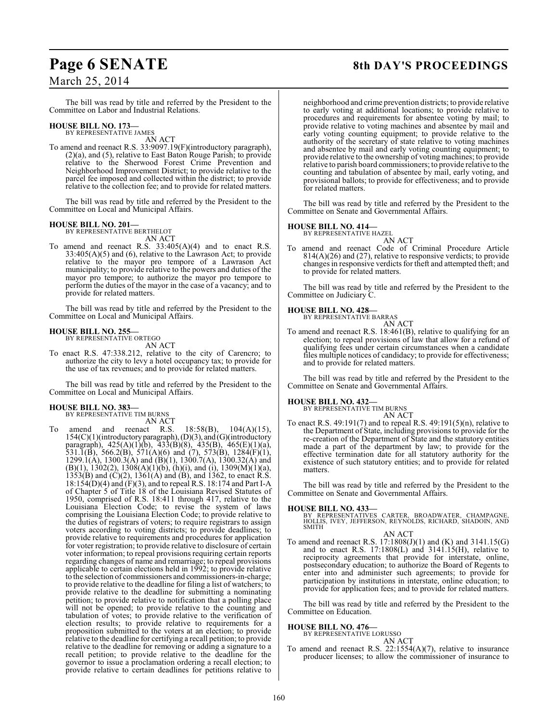## Page 6 SENATE 8th DAY'S PROCEEDINGS

## March 25, 2014

The bill was read by title and referred by the President to the Committee on Labor and Industrial Relations.

## **HOUSE BILL NO. 173—** BY REPRESENTATIVE JAMES

AN ACT

To amend and reenact R.S. 33:9097.19(F)(introductory paragraph), (2)(a), and (5), relative to East Baton Rouge Parish; to provide relative to the Sherwood Forest Crime Prevention and Neighborhood Improvement District; to provide relative to the parcel fee imposed and collected within the district; to provide relative to the collection fee; and to provide for related matters.

The bill was read by title and referred by the President to the Committee on Local and Municipal Affairs.

## **HOUSE BILL NO. 201—** BY REPRESENTATIVE BERTHELOT

AN ACT

To amend and reenact R.S.  $33:405(A)(4)$  and to enact R.S. 33:405(A)(5) and (6), relative to the Lawrason Act; to provide relative to the mayor pro tempore of a Lawrason Act municipality; to provide relative to the powers and duties of the mayor pro tempore; to authorize the mayor pro tempore to perform the duties of the mayor in the case of a vacancy; and to provide for related matters.

The bill was read by title and referred by the President to the Committee on Local and Municipal Affairs.

### **HOUSE BILL NO. 255—**

BY REPRESENTATIVE ORTEGO AN ACT

To enact R.S. 47:338.212, relative to the city of Carencro; to authorize the city to levy a hotel occupancy tax; to provide for the use of tax revenues; and to provide for related matters.

The bill was read by title and referred by the President to the Committee on Local and Municipal Affairs.

#### **HOUSE BILL NO. 383—**

BY REPRESENTATIVE TIM BURNS

AN ACT

To amend and reenact R.S.  $18:58(B)$ ,  $104(A)(15)$ , 154(C)(1)(introductory paragraph), (D)(3), and (G)(introductory paragraph), 425(A)(1)(b), 433(B)(8), 435(B), 465(E)(1)(a), 531.1(B), 566.2(B), 571(A)(6) and (7), 573(B), 1284(F)(1), 1299.1(A), 1300.3(A) and (B)(1), 1300.7(A), 1300.32(A) and  $(B)(1)$ , 1302(2), 1308(A)(1)(b), (h)(i), and (i), 1309(M)(1)(a),  $1353(B)$  and  $(C)(2)$ ,  $1361(A)$  and  $(B)$ , and  $1362$ , to enact R.S. 18:154(D)(4) and (F)(3), and to repeal R.S. 18:174 and Part I-A of Chapter 5 of Title 18 of the Louisiana Revised Statutes of 1950, comprised of R.S. 18:411 through 417, relative to the Louisiana Election Code; to revise the system of laws comprising the Louisiana Election Code; to provide relative to the duties of registrars of voters; to require registrars to assign voters according to voting districts; to provide deadlines; to provide relative to requirements and procedures for application for voter registration; to provide relative to disclosure of certain voter information; to repeal provisions requiring certain reports regarding changes of name and remarriage; to repeal provisions applicable to certain elections held in 1992; to provide relative to the selection of commissioners and commissioners-in-charge; to provide relative to the deadline for filing a list of watchers; to provide relative to the deadline for submitting a nominating petition; to provide relative to notification that a polling place will not be opened; to provide relative to the counting and tabulation of votes; to provide relative to the verification of election results; to provide relative to requirements for a proposition submitted to the voters at an election; to provide relative to the deadline for certifying a recall petition; to provide relative to the deadline for removing or adding a signature to a recall petition; to provide relative to the deadline for the governor to issue a proclamation ordering a recall election; to provide relative to certain deadlines for petitions relative to

neighborhood and crime prevention districts; to provide relative to early voting at additional locations; to provide relative to procedures and requirements for absentee voting by mail; to provide relative to voting machines and absentee by mail and early voting counting equipment; to provide relative to the authority of the secretary of state relative to voting machines and absentee by mail and early voting counting equipment; to provide relative to the ownership of voting machines; to provide relative to parish board commissioners; to provide relative to the counting and tabulation of absentee by mail, early voting, and provisional ballots; to provide for effectiveness; and to provide for related matters.

The bill was read by title and referred by the President to the Committee on Senate and Governmental Affairs.

## **HOUSE BILL NO. 414—** BY REPRESENTATIVE HAZEL

AN ACT To amend and reenact Code of Criminal Procedure Article 814(A)(26) and (27), relative to responsive verdicts; to provide changes in responsive verdicts for theft and attempted theft; and to provide for related matters.

The bill was read by title and referred by the President to the Committee on Judiciary C.

#### **HOUSE BILL NO. 428—**

BY REPRESENTATIVE BARRAS AN ACT

To amend and reenact R.S. 18:461(B), relative to qualifying for an election; to repeal provisions of law that allow for a refund of qualifying fees under certain circumstances when a candidate files multiple notices of candidacy; to provide for effectiveness; and to provide for related matters.

The bill was read by title and referred by the President to the Committee on Senate and Governmental Affairs.

#### **HOUSE BILL NO. 432—**

BY REPRESENTATIVE TIM BURNS AN ACT

To enact R.S.  $49:191(7)$  and to repeal R.S.  $49:191(5)(n)$ , relative to the Department of State, including provisions to provide for the re-creation of the Department of State and the statutory entities made a part of the department by law; to provide for the effective termination date for all statutory authority for the existence of such statutory entities; and to provide for related matters.

The bill was read by title and referred by the President to the Committee on Senate and Governmental Affairs.

**HOUSE BILL NO. 433—** BY REPRESENTATIVES CARTER, BROADWATER, CHAMPAGNE, HOLLIS, IVEY, JEFFERSON, REYNOLDS, RICHARD, SHADOIN, AND SMITH AN ACT

To amend and reenact R.S. 17:1808(J)(1) and (K) and 3141.15(G) and to enact R.S.  $17:1808(L)$  and  $3141.15(H)$ , relative to reciprocity agreements that provide for interstate, online, postsecondary education; to authorize the Board of Regents to enter into and administer such agreements; to provide for participation by institutions in interstate, online education; to provide for application fees; and to provide for related matters.

The bill was read by title and referred by the President to the Committee on Education.

#### **HOUSE BILL NO. 476—**

BY REPRESENTATIVE LORUSSO AN ACT

To amend and reenact R.S. 22:1554(A)(7), relative to insurance producer licenses; to allow the commissioner of insurance to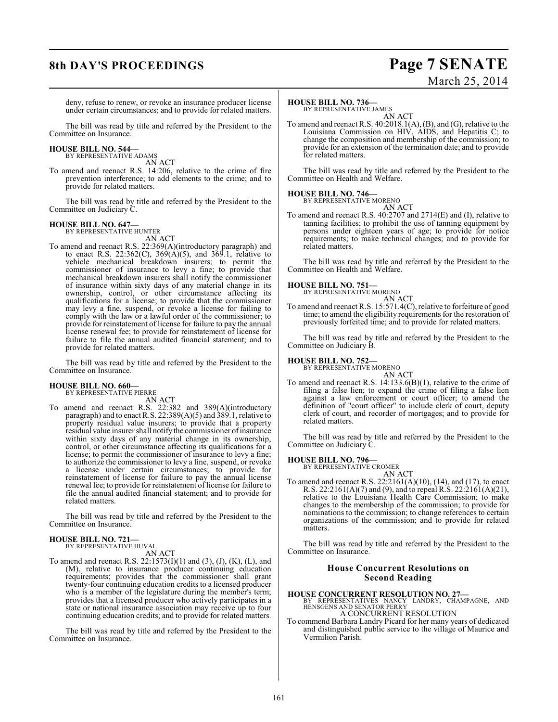## **8th DAY'S PROCEEDINGS Page 7 SENATE** March 25, 2014

deny, refuse to renew, or revoke an insurance producer license under certain circumstances; and to provide for related matters.

The bill was read by title and referred by the President to the Committee on Insurance.

#### **HOUSE BILL NO. 544—** BY REPRESENTATIVE ADAMS

AN ACT

To amend and reenact R.S. 14:206, relative to the crime of fire prevention interference; to add elements to the crime; and to provide for related matters.

The bill was read by title and referred by the President to the Committee on Judiciary C.

## **HOUSE BILL NO. 647—** BY REPRESENTATIVE HUNTER

AN ACT

To amend and reenact R.S. 22:369(A)(introductory paragraph) and to enact R.S. 22:362(C),  $369(A)(5)$ , and  $369.1$ , relative to vehicle mechanical breakdown insurers; to permit the commissioner of insurance to levy a fine; to provide that mechanical breakdown insurers shall notify the commissioner of insurance within sixty days of any material change in its ownership, control, or other circumstance affecting its qualifications for a license; to provide that the commissioner may levy a fine, suspend, or revoke a license for failing to comply with the law or a lawful order of the commissioner; to provide for reinstatement of license for failure to pay the annual license renewal fee; to provide for reinstatement of license for failure to file the annual audited financial statement; and to provide for related matters.

The bill was read by title and referred by the President to the Committee on Insurance.

#### **HOUSE BILL NO. 660—** BY REPRESENTATIVE PIERRE

AN ACT To amend and reenact R.S. 22:382 and 389(A)(introductory paragraph) and to enactR.S. 22:389(A)(5) and 389.1, relative to property residual value insurers; to provide that a property residual value insurer shall notify the commissioner of insurance within sixty days of any material change in its ownership, control, or other circumstance affecting its qualifications for a license; to permit the commissioner of insurance to levy a fine; to authorize the commissioner to levy a fine, suspend, or revoke a license under certain circumstances; to provide for reinstatement of license for failure to pay the annual license renewal fee; to provide for reinstatement of license for failure to file the annual audited financial statement; and to provide for related matters.

The bill was read by title and referred by the President to the Committee on Insurance.

#### **HOUSE BILL NO. 721—** BY REPRESENTATIVE HUVAL

AN ACT

To amend and reenact R.S. 22:1573(I)(1) and (3), (J), (K), (L), and (M), relative to insurance producer continuing education requirements; provides that the commissioner shall grant twenty-four continuing education credits to a licensed producer who is a member of the legislature during the member's term; provides that a licensed producer who actively participates in a state or national insurance association may receive up to four continuing education credits; and to provide for related matters.

The bill was read by title and referred by the President to the Committee on Insurance.

### **HOUSE BILL NO. 736—**

BY REPRESENTATIVE JAMES

AN ACT To amend and reenact R.S. 40:2018.1(A), (B), and (G), relative to the Louisiana Commission on HIV, AIDS, and Hepatitis C; to change the composition and membership of the commission; to provide for an extension of the termination date; and to provide for related matters.

The bill was read by title and referred by the President to the Committee on Health and Welfare.

### **HOUSE BILL NO. 746—**

BY REPRESENTATIVE MORENO

AN ACT To amend and reenact R.S. 40:2707 and 2714(E) and (I), relative to tanning facilities; to prohibit the use of tanning equipment by persons under eighteen years of age; to provide for notice requirements; to make technical changes; and to provide for related matters.

The bill was read by title and referred by the President to the Committee on Health and Welfare.

**HOUSE BILL NO. 751—** BY REPRESENTATIVE MORENO AN ACT

To amend and reenact R.S. 15:571.4(C), relative to forfeiture of good time; to amend the eligibility requirements for the restoration of previously forfeited time; and to provide for related matters.

The bill was read by title and referred by the President to the Committee on Judiciary B.

#### **HOUSE BILL NO. 752—**

BY REPRESENTATIVE MORENO

AN ACT To amend and reenact R.S. 14:133.6(B)(1), relative to the crime of filing a false lien; to expand the crime of filing a false lien against a law enforcement or court officer; to amend the definition of "court officer" to include clerk of court, deputy clerk of court, and recorder of mortgages; and to provide for related matters.

The bill was read by title and referred by the President to the Committee on Judiciary C.

#### **HOUSE BILL NO. 796—**

BY REPRESENTATIVE CROMER AN ACT

To amend and reenact R.S. 22:2161(A)(10), (14), and (17), to enact R.S. 22:2161(A)(7) and (9), and to repeal R.S. 22:2161(A)(21), relative to the Louisiana Health Care Commission; to make changes to the membership of the commission; to provide for nominations to the commission; to change references to certain organizations of the commission; and to provide for related matters.

The bill was read by title and referred by the President to the Committee on Insurance.

#### **House Concurrent Resolutions on Second Reading**

#### **HOUSE CONCURRENT RESOLUTION NO. 27—**

BY REPRESENTATIVES NANCY LANDRY, CHAMPAGNE, AND HENSGENS AND SENATOR PERRY A CONCURRENT RESOLUTION

To commend Barbara Landry Picard for her many years of dedicated and distinguished public service to the village of Maurice and Vermilion Parish.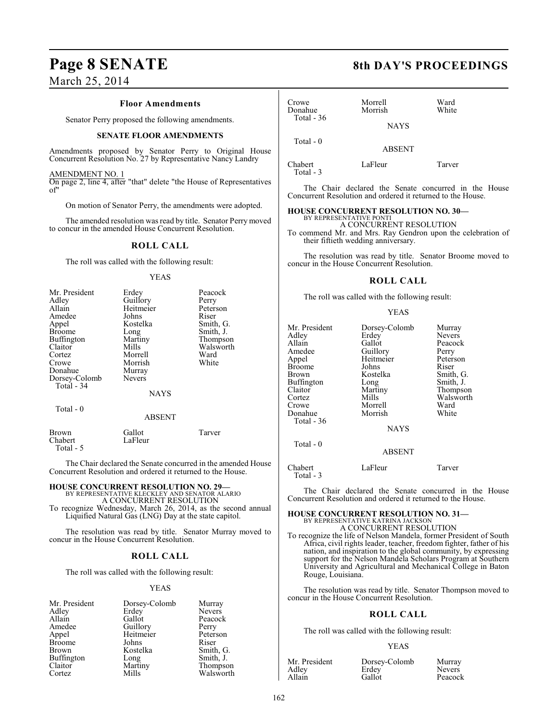# **Page 8 SENATE** 8th DAY'S PROCEEDINGS

March 25, 2014

#### **Floor Amendments**

Senator Perry proposed the following amendments.

#### **SENATE FLOOR AMENDMENTS**

Amendments proposed by Senator Perry to Original House Concurrent Resolution No. 27 by Representative Nancy Landry

#### AMENDMENT NO. 1

On page 2, line 4, after "that" delete "the House of Representatives of"

On motion of Senator Perry, the amendments were adopted.

The amended resolution was read by title. Senator Perry moved to concur in the amended House Concurrent Resolution.

#### **ROLL CALL**

The roll was called with the following result:

#### YEAS

| Mr. President<br>Adley<br>Allain<br>Amedee<br>Appel<br><b>Broome</b><br>Buffington<br>Claitor<br>Cortez<br>Crowe<br>Donahue<br>Dorsey-Colomb | Erdey<br>Guillory<br>Heitmeier<br>Johns<br>Kostelka<br>Long<br>Martiny<br>Mills<br>Morrell<br>Morrish<br>Murray<br>Nevers | Peacock<br>Perry<br>Peterson<br>Riser<br>Smith, G.<br>Smith, J.<br>Thompson<br>Walsworth<br>Ward<br>White |
|----------------------------------------------------------------------------------------------------------------------------------------------|---------------------------------------------------------------------------------------------------------------------------|-----------------------------------------------------------------------------------------------------------|
| Total - 34                                                                                                                                   | <b>NAYS</b>                                                                                                               |                                                                                                           |
| Total - 0                                                                                                                                    | <b>ABSENT</b>                                                                                                             |                                                                                                           |
| Brown<br>Chabert                                                                                                                             | Gallot<br>LaFleur                                                                                                         | Tarver                                                                                                    |

Total - 5

The Chair declared the Senate concurred in the amended House Concurrent Resolution and ordered it returned to the House.

## **HOUSE CONCURRENT RESOLUTION NO. 29—** BY REPRESENTATIVE KLECKLEY AND SENATOR ALARIO

A CONCURRENT RESOLUTION

To recognize Wednesday, March 26, 2014, as the second annual Liquified Natural Gas (LNG) Day at the state capitol.

The resolution was read by title. Senator Murray moved to concur in the House Concurrent Resolution.

### **ROLL CALL**

The roll was called with the following result:

#### YEAS

| Dorsey-Colomb | Murray        |
|---------------|---------------|
| Erdey         | <b>Nevers</b> |
| Gallot        | Peacock       |
| Guillory      | Perry         |
| Heitmeier     | Peterson      |
| Johns         | Riser         |
| Kostelka      | Smith, G.     |
| Long          | Smith, J.     |
| Martiny       | Thompson      |
| Mills         | Walsworth     |
|               |               |

| Crowe<br>Donahue<br>Total $-36$ | Morrell<br>Morrish<br><b>NAYS</b> | Ward<br>White |
|---------------------------------|-----------------------------------|---------------|
| Total - 0                       | <b>ABSENT</b>                     |               |
| Chabert<br>Total - 3            | LaFleur                           | Tarver        |

The Chair declared the Senate concurred in the House Concurrent Resolution and ordered it returned to the House.

### **HOUSE CONCURRENT RESOLUTION NO. 30—**

BY REPRESENTATIVE PONTI A CONCURRENT RESOLUTION To commend Mr. and Mrs. Ray Gendron upon the celebration of their fiftieth wedding anniversary.

The resolution was read by title. Senator Broome moved to concur in the House Concurrent Resolution.

#### **ROLL CALL**

The roll was called with the following result:

#### YEAS

| Mr. President<br>Adlev<br>Allain<br>Amedee<br>Appel<br>Broome<br>Brown<br>Buffington<br>Claitor<br>Cortez<br>Crowe | Dorsey-Colomb<br>Erdey<br>Gallot<br>Guillory<br>Heitmeier<br>Johns<br>Kostelka<br>Long<br>Martiny<br>Mills<br>Morrell | Murray<br>Nevers<br>Peacock<br>Perry<br>Peterson<br>Riser<br>Smith, G.<br>Smith, J.<br>Thompson<br>Walsworth<br>Ward |
|--------------------------------------------------------------------------------------------------------------------|-----------------------------------------------------------------------------------------------------------------------|----------------------------------------------------------------------------------------------------------------------|
| Donahue                                                                                                            | Morrish                                                                                                               | White                                                                                                                |
| Total - 36                                                                                                         | <b>NAYS</b>                                                                                                           |                                                                                                                      |
| Total $-0$                                                                                                         | <b>ABSENT</b>                                                                                                         |                                                                                                                      |

Chabert LaFleur Tarver Total - 3

The Chair declared the Senate concurred in the House Concurrent Resolution and ordered it returned to the House.

### **HOUSE CONCURRENT RESOLUTION NO. 31—**

BY REPRESENTATIVE KATRINA JACKSON A CONCURRENT RESOLUTION

To recognize the life of Nelson Mandela, former President of South Africa, civil rights leader, teacher, freedom fighter, father of his nation, and inspiration to the global community, by expressing support for the Nelson Mandela Scholars Program at Southern University and Agricultural and Mechanical College in Baton Rouge, Louisiana.

The resolution was read by title. Senator Thompson moved to concur in the House Concurrent Resolution.

#### **ROLL CALL**

The roll was called with the following result:

#### YEAS

| Mr. President |  |
|---------------|--|
| Adlev         |  |
| Allain        |  |

Dorsey-Colomb Murray<br>Erdev Nevers Erdey Nevers<br>Gallot Peacocl

Peacock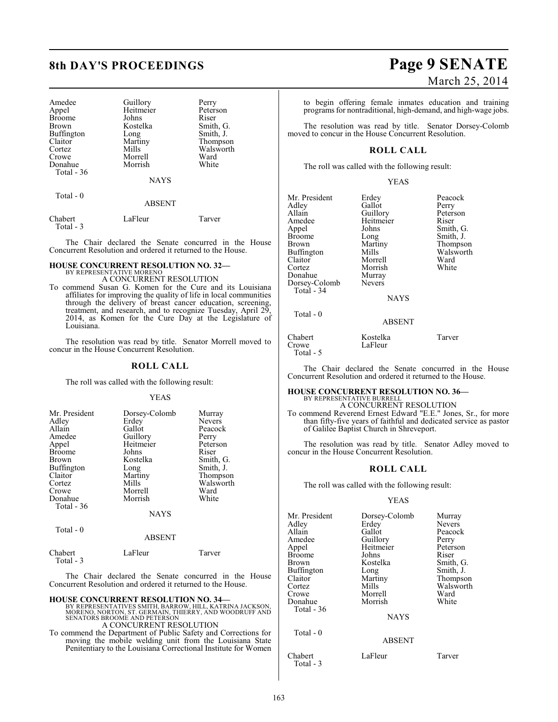| Amedee        | Guillory    | Perry     |
|---------------|-------------|-----------|
| Appel         | Heitmeier   | Peterson  |
| <b>Broome</b> | Johns       | Riser     |
| <b>Brown</b>  | Kostelka    | Smith, G. |
| Buffington    | Long        | Smith, J. |
| Claitor       | Martiny     | Thompson  |
| Cortez        | Mills       | Walsworth |
| Crowe         | Morrell     | Ward      |
| Donahue       | Morrish     | White     |
| Total - 36    |             |           |
|               | <b>NAYS</b> |           |
| $Total - 0$   |             |           |

#### ABSENT

| Chabert<br>Total - 3 | LaFleur | Tarver |
|----------------------|---------|--------|
|                      |         |        |

The Chair declared the Senate concurred in the House Concurrent Resolution and ordered it returned to the House.

#### **HOUSE CONCURRENT RESOLUTION NO. 32—** BY REPRESENTATIVE MORENO

A CONCURRENT RESOLUTION

To commend Susan G. Komen for the Cure and its Louisiana affiliates for improving the quality of life in local communities through the delivery of breast cancer education, screening, treatment, and research, and to recognize Tuesday, April 29, 2014, as Komen for the Cure Day at the Legislature of Louisiana.

The resolution was read by title. Senator Morrell moved to concur in the House Concurrent Resolution.

#### **ROLL CALL**

The roll was called with the following result:

#### YEAS

| Mr. President | Dorsey-Colomb |               |
|---------------|---------------|---------------|
|               |               | Murray        |
| Adley         | Erdey         | <b>Nevers</b> |
| Allain        | Gallot        | Peacock       |
| Amedee        | Guillory      | Perry         |
| Appel         | Heitmeier     | Peterson      |
| <b>Broome</b> | Johns         | Riser         |
| <b>Brown</b>  | Kostelka      | Smith, G.     |
| Buffington    | Long          | Smith, J.     |
| Claitor       | Martiny       | Thompson      |
| Cortez        | Mills         | Walsworth     |
| Crowe         | Morrell       | Ward          |
| Donahue       | Morrish       | White         |
| Total $-36$   |               |               |
|               | NAYS          |               |
| m. 1 n        |               |               |

### Total - 0

| Chabert   | LaFleur | Tarver |
|-----------|---------|--------|
| Total - 3 |         |        |

The Chair declared the Senate concurred in the House Concurrent Resolution and ordered it returned to the House.

ABSENT

#### **HOUSE CONCURRENT RESOLUTION NO. 34—**

BY REPRESENTATIVES SMITH, BARROW, HILL, KATRINA JACKSON,<br>MORENO, NORTON, ST. GERMAIN, THIERRY, AND WOODRUFF AND<br>SENATORS BROOME AND PETERSON A CONCURRENT RESOLUTION

To commend the Department of Public Safety and Corrections for moving the mobile welding unit from the Louisiana State Penitentiary to the Louisiana Correctional Institute for Women

## **8th DAY'S PROCEEDINGS Page 9 SENATE** March 25, 2014

to begin offering female inmates education and training programs for nontraditional, high-demand, and high-wage jobs.

The resolution was read by title. Senator Dorsey-Colomb moved to concur in the House Concurrent Resolution.

#### **ROLL CALL**

The roll was called with the following result:

#### YEAS

| Mr. President<br>Adley<br>Allain<br>Amedee<br>Appel<br><b>Broome</b><br>Brown<br>Buffington<br>Claitor<br>Cortez<br>Donahue<br>Dorsey-Colomb<br>Total - 34<br>Total $-0$ | Erdey<br>Gallot<br>Guillory<br>Heitmeier<br>Johns<br>Long<br>Martiny<br>Mills<br>Morrell<br>Morrish<br>Murray<br><b>Nevers</b><br><b>NAYS</b><br><b>ABSENT</b> | Peacock<br>Perry<br>Peterson<br>Riser<br>Smith, G.<br>Smith, J.<br>Thompson<br>Walsworth<br>Ward<br>White |
|--------------------------------------------------------------------------------------------------------------------------------------------------------------------------|----------------------------------------------------------------------------------------------------------------------------------------------------------------|-----------------------------------------------------------------------------------------------------------|
| Chabert<br>Crowe                                                                                                                                                         | Kostelka<br>LaFleur                                                                                                                                            | Tarver                                                                                                    |

The Chair declared the Senate concurred in the House Concurrent Resolution and ordered it returned to the House.

### **HOUSE CONCURRENT RESOLUTION NO. 36—**

BY REPRESENTATIVE BURRELL A CONCURRENT RESOLUTION

To commend Reverend Ernest Edward "E.E." Jones, Sr., for more than fifty-five years of faithful and dedicated service as pastor of Galilee Baptist Church in Shreveport.

The resolution was read by title. Senator Adley moved to concur in the House Concurrent Resolution.

#### **ROLL CALL**

The roll was called with the following result:

#### YEAS

| Mr. President<br>Adley<br>Allain<br>Amedee<br>Appel<br><b>Broome</b><br>Brown<br>Buffington<br>Claitor<br>Cortez | Dorsey-Colomb<br>Erdey<br>Gallot<br>Guillory<br>Heitmeier<br>Johns<br>Kostelka<br>Long<br>Martiny<br>Mills | Murray<br>Nevers<br>Peacock<br>Perry<br>Peterson<br>Riser<br>Smith, G.<br>Smith, J.<br>Thompson<br>Walsworth |
|------------------------------------------------------------------------------------------------------------------|------------------------------------------------------------------------------------------------------------|--------------------------------------------------------------------------------------------------------------|
| Crowe<br>Donahue<br>Total - 36<br>Total - 0                                                                      | Morrell<br>Morrish<br><b>NAYS</b><br><b>ABSENT</b>                                                         | Ward<br>White                                                                                                |
| Chabert                                                                                                          | LaFleur                                                                                                    | Tarver                                                                                                       |

Total - 3

Total - 5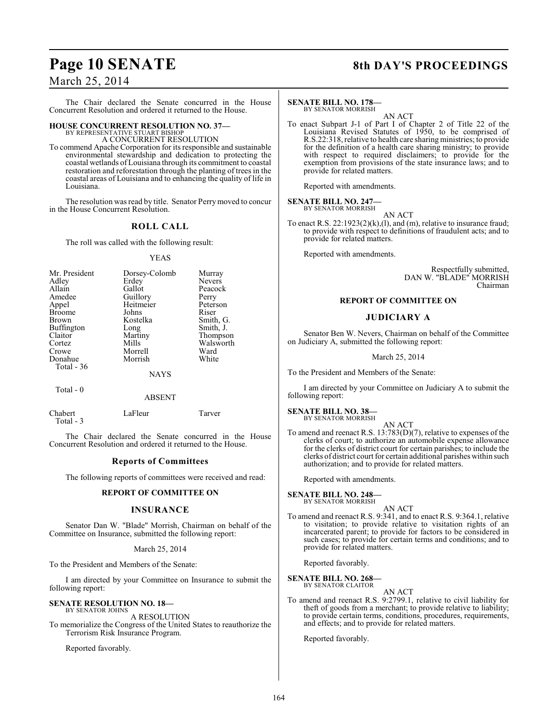# Page 10 SENATE 8th DAY'S PROCEEDINGS

## March 25, 2014

The Chair declared the Senate concurred in the House Concurrent Resolution and ordered it returned to the House.

#### **HOUSE CONCURRENT RESOLUTION NO. 37—** BY REPRESENTATIVE STUART BISHOP

A CONCURRENT RESOLUTION

To commend Apache Corporation for its responsible and sustainable environmental stewardship and dedication to protecting the coastal wetlands ofLouisiana through its commitment to coastal restoration and reforestation through the planting of trees in the coastal areas of Louisiana and to enhancing the quality of life in Louisiana.

The resolution was read by title. Senator Perry moved to concur in the House Concurrent Resolution.

### **ROLL CALL**

The roll was called with the following result:

#### YEAS

| Mr. President | Dorsey-Colomb | Murray    |
|---------------|---------------|-----------|
| Adley         | Erdey         | Nevers    |
| Allain        | Gallot        | Peacock   |
| Amedee        | Guillory      | Perry     |
| Appel         | Heitmeier     | Peterson  |
| <b>Broome</b> | Johns         | Riser     |
| <b>Brown</b>  | Kostelka      | Smith, G. |
| Buffington    | Long          | Smith, J. |
| Claitor       | Martiny       | Thompson  |
| Cortez        | Mills         | Walsworth |
| Crowe         | Morrell       | Ward      |
| Donahue       | Morrish       | White     |
| Total - 36    |               |           |
|               | <b>NAYS</b>   |           |
| Total - 0     |               |           |

|                      | <b>ABSENT</b> |        |
|----------------------|---------------|--------|
| Chabert<br>Total - 3 | LaFleur       | Tarver |

The Chair declared the Senate concurred in the House Concurrent Resolution and ordered it returned to the House.

#### **Reports of Committees**

The following reports of committees were received and read:

#### **REPORT OF COMMITTEE ON**

#### **INSURANCE**

Senator Dan W. "Blade" Morrish, Chairman on behalf of the Committee on Insurance, submitted the following report:

#### March 25, 2014

To the President and Members of the Senate:

I am directed by your Committee on Insurance to submit the following report:

**SENATE RESOLUTION NO. 18—** BY SENATOR JOHNS

A RESOLUTION To memorialize the Congress of the United States to reauthorize the Terrorism Risk Insurance Program.

Reported favorably.

### **SENATE BILL NO. 178—**

BY SENATOR MORRISH AN ACT

To enact Subpart J-1 of Part I of Chapter 2 of Title 22 of the Louisiana Revised Statutes of 1950, to be comprised of R.S.22:318, relative to health care sharing ministries; to provide for the definition of a health care sharing ministry; to provide with respect to required disclaimers; to provide for the exemption from provisions of the state insurance laws; and to provide for related matters.

Reported with amendments.

#### **SENATE BILL NO. 247—** BY SENATOR MORRISH

AN ACT

To enact R.S. 22:1923(2)(k),(l), and (m), relative to insurance fraud; to provide with respect to definitions of fraudulent acts; and to provide for related matters.

Reported with amendments.

Respectfully submitted, DAN W. "BLADE" MORRISH Chairman

### **REPORT OF COMMITTEE ON**

#### **JUDICIARY A**

Senator Ben W. Nevers, Chairman on behalf of the Committee on Judiciary A, submitted the following report:

March 25, 2014

To the President and Members of the Senate:

I am directed by your Committee on Judiciary A to submit the following report:

#### **SENATE BILL NO. 38—** BY SENATOR MORRISH

AN ACT To amend and reenact R.S. 13:783(D)(7), relative to expenses of the clerks of court; to authorize an automobile expense allowance for the clerks of district court for certain parishes; to include the clerks of district court for certain additional parishes within such authorization; and to provide for related matters.

Reported with amendments.

**SENATE BILL NO. 248—** BY SENATOR MORRISH

AN ACT

To amend and reenact R.S. 9:341, and to enact R.S. 9:364.1, relative to visitation; to provide relative to visitation rights of an incarcerated parent; to provide for factors to be considered in such cases; to provide for certain terms and conditions; and to provide for related matters.

Reported favorably.

## **SENATE BILL NO. 268—** BY SENATOR CLAITOR

AN ACT

To amend and reenact R.S. 9:2799.1, relative to civil liability for theft of goods from a merchant; to provide relative to liability; to provide certain terms, conditions, procedures, requirements, and effects; and to provide for related matters.

Reported favorably.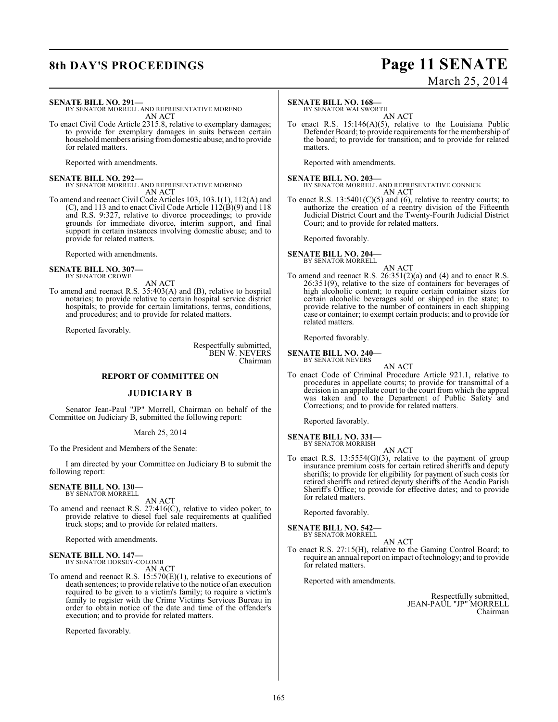## **8th DAY'S PROCEEDINGS Page 11 SENATE** March 25, 2014

**SENATE BILL NO. 291—**

BY SENATOR MORRELL AND REPRESENTATIVE MORENO AN ACT

To enact Civil Code Article 2315.8, relative to exemplary damages; to provide for exemplary damages in suits between certain household members arising from domestic abuse; and to provide for related matters.

Reported with amendments.

**SENATE BILL NO. 292—** BY SENATOR MORRELL AND REPRESENTATIVE MORENO AN ACT

To amend and reenact Civil Code Articles 103, 103.1(1), 112(A) and (C), and 113 and to enact Civil Code Article  $112(B)(9)$  and 118 and R.S. 9:327, relative to divorce proceedings; to provide grounds for immediate divorce, interim support, and final support in certain instances involving domestic abuse; and to provide for related matters.

Reported with amendments.

**SENATE BILL NO. 307—** BY SENATOR CROWE

AN ACT To amend and reenact R.S. 35:403(A) and (B), relative to hospital notaries; to provide relative to certain hospital service district hospitals; to provide for certain limitations, terms, conditions, and procedures; and to provide for related matters.

Reported favorably.

Respectfully submitted, BEN W. NEVERS Chairman

### **REPORT OF COMMITTEE ON**

#### **JUDICIARY B**

Senator Jean-Paul "JP" Morrell, Chairman on behalf of the Committee on Judiciary B, submitted the following report:

#### March 25, 2014

To the President and Members of the Senate:

I am directed by your Committee on Judiciary B to submit the following report:

#### **SENATE BILL NO. 130—** BY SENATOR MORRELL

AN ACT

To amend and reenact R.S. 27:416(C), relative to video poker; to provide relative to diesel fuel sale requirements at qualified truck stops; and to provide for related matters.

Reported with amendments.

**SENATE BILL NO. 147—** BY SENATOR DORSEY-COLOMB

AN ACT

To amend and reenact R.S. 15:570(E)(1), relative to executions of death sentences; to provide relative to the notice of an execution required to be given to a victim's family; to require a victim's family to register with the Crime Victims Services Bureau in order to obtain notice of the date and time of the offender's execution; and to provide for related matters.

Reported favorably.

#### **SENATE BILL NO. 168—**

BY SENATOR WALSWORTH AN ACT

To enact R.S. 15:146(A)(5), relative to the Louisiana Public Defender Board; to provide requirements for the membership of the board; to provide for transition; and to provide for related matters.

Reported with amendments.

**SENATE BILL NO. 203—** BY SENATOR MORRELL AND REPRESENTATIVE CONNICK AN ACT

To enact R.S.  $13:5401(C)(5)$  and (6), relative to reentry courts; to authorize the creation of a reentry division of the Fifteenth Judicial District Court and the Twenty-Fourth Judicial District Court; and to provide for related matters.

Reported favorably.

**SENATE BILL NO. 204—** BY SENATOR MORRELL

AN ACT

To amend and reenact R.S. 26:351(2)(a) and (4) and to enact R.S. 26:351(9), relative to the size of containers for beverages of high alcoholic content; to require certain container sizes for certain alcoholic beverages sold or shipped in the state; to provide relative to the number of containers in each shipping case or container; to exempt certain products; and to provide for related matters.

Reported favorably.

#### **SENATE BILL NO. 240—** BY SENATOR NEVERS

AN ACT

To enact Code of Criminal Procedure Article 921.1, relative to procedures in appellate courts; to provide for transmittal of a decision in an appellate court to the court from which the appeal was taken and to the Department of Public Safety and Corrections; and to provide for related matters.

Reported favorably.

**SENATE BILL NO. 331—** BY SENATOR MORRISH

AN ACT

To enact R.S. 13:5554(G)(3), relative to the payment of group insurance premium costs for certain retired sheriffs and deputy sheriffs; to provide for eligibility for payment of such costs for retired sheriffs and retired deputy sheriffs of the Acadia Parish Sheriff's Office; to provide for effective dates; and to provide for related matters.

Reported favorably.

**SENATE BILL NO. 542—** BY SENATOR MORRELL

AN ACT

To enact R.S. 27:15(H), relative to the Gaming Control Board; to require an annual report on impact of technology; and to provide for related matters.

Reported with amendments.

Respectfully submitted, JEAN-PAUL "JP" MORRELL Chairman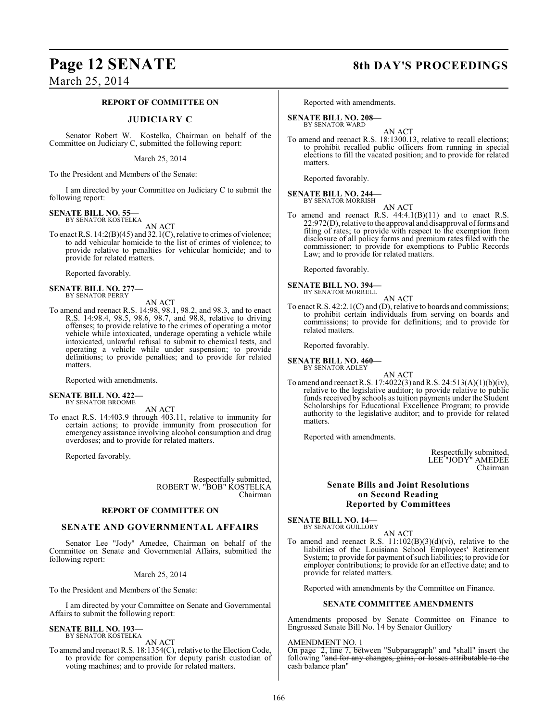## Page 12 SENATE 8th DAY'S PROCEEDINGS

March 25, 2014

#### **REPORT OF COMMITTEE ON**

#### **JUDICIARY C**

Senator Robert W. Kostelka, Chairman on behalf of the Committee on Judiciary C, submitted the following report:

March 25, 2014

To the President and Members of the Senate:

I am directed by your Committee on Judiciary C to submit the following report:

#### **SENATE BILL NO. 55—** BY SENATOR KOSTELKA

AN ACT

To enact R.S. 14:2(B)(45) and 32.1(C), relative to crimes of violence; to add vehicular homicide to the list of crimes of violence; to provide relative to penalties for vehicular homicide; and to provide for related matters.

Reported favorably.

**SENATE BILL NO. 277—** BY SENATOR PERRY

AN ACT

To amend and reenact R.S. 14:98, 98.1, 98.2, and 98.3, and to enact R.S. 14:98.4, 98.5, 98.6, 98.7, and 98.8, relative to driving offenses; to provide relative to the crimes of operating a motor vehicle while intoxicated, underage operating a vehicle while intoxicated, unlawful refusal to submit to chemical tests, and operating a vehicle while under suspension; to provide definitions; to provide penalties; and to provide for related matters.

Reported with amendments.

#### **SENATE BILL NO. 422—** BY SENATOR BROOME

AN ACT

To enact R.S. 14:403.9 through 403.11, relative to immunity for certain actions; to provide immunity from prosecution for emergency assistance involving alcohol consumption and drug overdoses; and to provide for related matters.

Reported favorably.

Respectfully submitted, ROBERT W. "BOB" KOSTELKA Chairman

#### **REPORT OF COMMITTEE ON**

#### **SENATE AND GOVERNMENTAL AFFAIRS**

Senator Lee "Jody" Amedee, Chairman on behalf of the Committee on Senate and Governmental Affairs, submitted the following report:

March 25, 2014

To the President and Members of the Senate:

I am directed by your Committee on Senate and Governmental Affairs to submit the following report:

#### **SENATE BILL NO. 193—** BY SENATOR KOSTELKA

AN ACT

To amend and reenact R.S. 18:1354(C), relative to the Election Code, to provide for compensation for deputy parish custodian of voting machines; and to provide for related matters.

Reported with amendments.

#### **SENATE BILL NO. 208—**

BY SENATOR WARD

AN ACT To amend and reenact R.S. 18:1300.13, relative to recall elections; to prohibit recalled public officers from running in special elections to fill the vacated position; and to provide for related matters.

Reported favorably.

#### **SENATE BILL NO. 244—** BY SENATOR MORRISH

AN ACT

To amend and reenact R.S.  $44:4.1(B)(11)$  and to enact R.S. 22:972(D), relative to the approval and disapproval of forms and filing of rates; to provide with respect to the exemption from disclosure of all policy forms and premium rates filed with the commissioner; to provide for exemptions to Public Records Law; and to provide for related matters.

Reported favorably.

**SENATE BILL NO. 394—** BY SENATOR MORRELL

AN ACT To enact R.S. 42:2.1(C) and (D), relative to boards and commissions; to prohibit certain individuals from serving on boards and commissions; to provide for definitions; and to provide for related matters.

Reported favorably.

**SENATE BILL NO. 460—** BY SENATOR ADLEY

AN ACT

To amend and reenactR.S. 17:4022(3) and R.S. 24:513(A)(1)(b)(iv), relative to the legislative auditor; to provide relative to public funds received by schools as tuition payments under the Student Scholarships for Educational Excellence Program; to provide authority to the legislative auditor; and to provide for related matters.

Reported with amendments.

Respectfully submitted, LEE "JODY" AMEDEE Chairman

### **Senate Bills and Joint Resolutions on Second Reading Reported by Committees**

**SENATE BILL NO. 14—**<br>BY SENATOR GUILLORY

AN ACT

To amend and reenact R.S.  $11:102(B)(3)(d)(vi)$ , relative to the liabilities of the Louisiana School Employees' Retirement System; to provide for payment of such liabilities; to provide for employer contributions; to provide for an effective date; and to provide for related matters.

Reported with amendments by the Committee on Finance.

#### **SENATE COMMITTEE AMENDMENTS**

Amendments proposed by Senate Committee on Finance to Engrossed Senate Bill No. 14 by Senator Guillory

#### AMENDMENT NO. 1

On page 2, line 7, between "Subparagraph" and "shall" insert the following "and for any changes, gains, or losses attributable to the cash balance plan"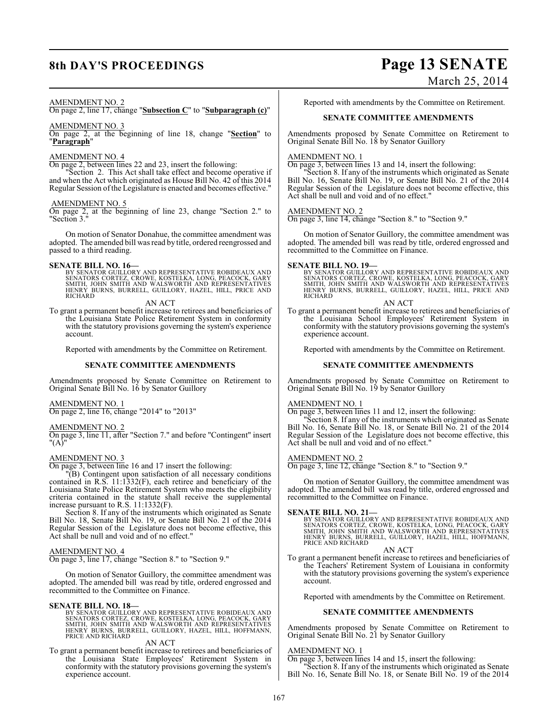## **8th DAY'S PROCEEDINGS Page 13 SENATE** March 25, 2014

#### AMENDMENT NO. 2

On page 2, line 17, change "**Subsection C**" to "**Subparagraph (c)**"

#### AMENDMENT NO. 3

On page 2, at the beginning of line 18, change "**Section**" to "**Paragraph**"

#### AMENDMENT NO. 4

On page 2, between lines 22 and 23, insert the following:

"Section 2. This Act shall take effect and become operative if and when the Act which originated as House Bill No. 42 of this 2014 Regular Session of the Legislature is enacted and becomes effective."

#### AMENDMENT NO. 5

On page 2, at the beginning of line 23, change "Section 2." to "Section 3."

On motion of Senator Donahue, the committee amendment was adopted. The amended bill was read by title, ordered reengrossed and passed to a third reading.

**SENATE BILL NO. 16—**<br>BY SENATOR GUILLORY AND REPRESENTATIVE ROBIDEAUX AND<br>SENATORS CORTEZ, CROWE, KOSTELKA, LONG, PEACOCK, GARY<br>SMITH, JOHN SMITH AND WALSWORTH AND REPRESENTATIVES<br>HENRY BURNS, BURRELL, GUILLORY, HAZEL, HI

AN ACT

To grant a permanent benefit increase to retirees and beneficiaries of the Louisiana State Police Retirement System in conformity with the statutory provisions governing the system's experience account.

Reported with amendments by the Committee on Retirement.

#### **SENATE COMMITTEE AMENDMENTS**

Amendments proposed by Senate Committee on Retirement to Original Senate Bill No. 16 by Senator Guillory

#### AMENDMENT NO. 1

On page 2, line 16, change "2014" to "2013"

#### AMENDMENT NO. 2

On page 3, line 11, after "Section 7." and before "Contingent" insert "(A)"

#### AMENDMENT NO. 3

On page 3, between line 16 and 17 insert the following:

"(B) Contingent upon satisfaction of all necessary conditions contained in R.S. 11:1332(F), each retiree and beneficiary of the Louisiana State Police Retirement System who meets the eligibility criteria contained in the statute shall receive the supplemental increase pursuant to R.S. 11:1332(F).

Section 8. If any of the instruments which originated as Senate Bill No. 18, Senate Bill No. 19, or Senate Bill No. 21 of the 2014 Regular Session of the Legislature does not become effective, this Act shall be null and void and of no effect."

#### AMENDMENT NO. 4

On page 3, line 17, change "Section 8." to "Section 9."

On motion of Senator Guillory, the committee amendment was adopted. The amended bill was read by title, ordered engrossed and recommitted to the Committee on Finance.

#### **SENATE BILL NO. 18—**

BY SENATOR GUILLORY AND REPRESENTATIVE ROBIDEAUX AND<br>SENATORS CORTEZ, CROWE, KOSTELKA, LONG, PEACOCK, GARY<br>SMITH, JOHN SMITH AND WALSWORTH AND REPRESENTATIVES<br>HENRY BURNS, BURRELL, GUILLORY, HAZEL, HILL, HOFFMANN,<br>PRICE AN

#### AN ACT

To grant a permanent benefit increase to retirees and beneficiaries of the Louisiana State Employees' Retirement System in conformity with the statutory provisions governing the system's experience account.

Reported with amendments by the Committee on Retirement.

#### **SENATE COMMITTEE AMENDMENTS**

Amendments proposed by Senate Committee on Retirement to Original Senate Bill No. 18 by Senator Guillory

#### AMENDMENT NO. 1

On page 3, between lines 13 and 14, insert the following:

"Section 8. If any of the instruments which originated as Senate Bill No. 16, Senate Bill No. 19, or Senate Bill No. 21 of the 2014 Regular Session of the Legislature does not become effective, this Act shall be null and void and of no effect."

#### AMENDMENT NO. 2

On page 3, line 14, change "Section 8." to "Section 9."

On motion of Senator Guillory, the committee amendment was adopted. The amended bill was read by title, ordered engrossed and recommitted to the Committee on Finance.

#### **SENATE BILL NO. 19—**

BY SENATOR GUILLORY AND REPRESENTATIVE ROBIDEAUX AND<br>SENATORS CORTEZ, CROWE, KOSTELKA, LONG, PEACOCK, GARY<br>SMITH, JOHN SMITH AND WALSWORTH AND REPRESENTATIVES<br>HENRY BURNS, BURRELL, GUILLORY, HAZEL, HILL, PRICE AND<br>RICHARD

#### AN ACT

To grant a permanent benefit increase to retirees and beneficiaries of the Louisiana School Employees' Retirement System in conformity with the statutory provisions governing the system's experience account.

Reported with amendments by the Committee on Retirement.

#### **SENATE COMMITTEE AMENDMENTS**

Amendments proposed by Senate Committee on Retirement to Original Senate Bill No. 19 by Senator Guillory

#### AMENDMENT NO. 1

On page 3, between lines 11 and 12, insert the following:

"Section 8. If any of the instruments which originated as Senate Bill No. 16, Senate Bill No. 18, or Senate Bill No. 21 of the 2014 Regular Session of the Legislature does not become effective, this Act shall be null and void and of no effect."

#### AMENDMENT NO. 2

On page 3, line 12, change "Section 8." to "Section 9."

On motion of Senator Guillory, the committee amendment was adopted. The amended bill was read by title, ordered engrossed and recommitted to the Committee on Finance.

**SENATE BILL NO. 21—**<br>BY SENATOR GUILLORY AND REPRESENTATIVE ROBIDEAUX AND<br>SENATORS CORTEZ, CROWE, KOSTELKA, LONG, PEACOCK, GARY<br>SMITH, JOHN SMITH AND WALSWORTH AND REPRESENTATIVES<br>HENRY BURNS, BURRELL, GUILLORY, HAZEL, HI

#### AN ACT

To grant a permanent benefit increase to retirees and beneficiaries of the Teachers' Retirement System of Louisiana in conformity with the statutory provisions governing the system's experience account.

Reported with amendments by the Committee on Retirement.

#### **SENATE COMMITTEE AMENDMENTS**

Amendments proposed by Senate Committee on Retirement to Original Senate Bill No. 21 by Senator Guillory

#### AMENDMENT NO. 1

On page 3, between lines 14 and 15, insert the following:

"Section 8. If any of the instruments which originated as Senate Bill No. 16, Senate Bill No. 18, or Senate Bill No. 19 of the 2014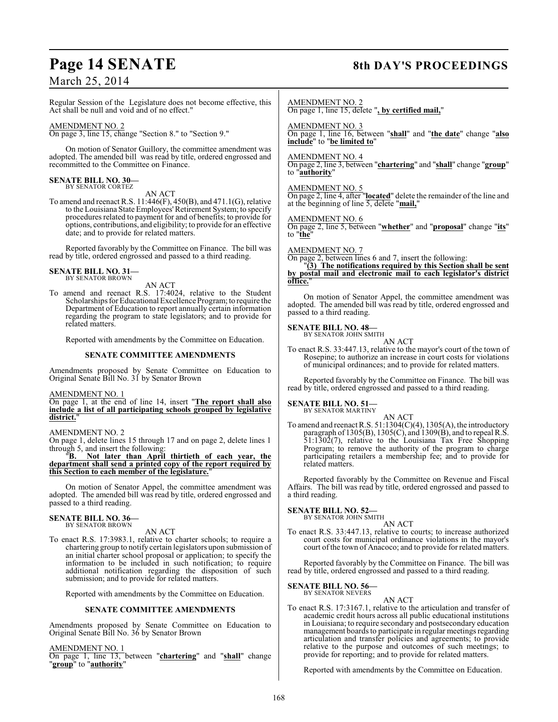# Page 14 SENATE 8th DAY'S PROCEEDINGS

## March 25, 2014

Regular Session of the Legislature does not become effective, this Act shall be null and void and of no effect."

#### AMENDMENT NO. 2

On page 3, line 15, change "Section 8." to "Section 9."

On motion of Senator Guillory, the committee amendment was adopted. The amended bill was read by title, ordered engrossed and recommitted to the Committee on Finance.

#### **SENATE BILL NO. 30—** BY SENATOR CORTEZ

AN ACT

To amend and reenact R.S. 11:446(F), 450(B), and 471.1(G), relative to the Louisiana State Employees' Retirement System; to specify procedures related to payment for and of benefits; to provide for options, contributions, and eligibility; to provide for an effective date; and to provide for related matters.

Reported favorably by the Committee on Finance. The bill was read by title, ordered engrossed and passed to a third reading.

#### **SENATE BILL NO. 31—** BY SENATOR BROWN

AN ACT

To amend and reenact R.S. 17:4024, relative to the Student Scholarships for Educational Excellence Program; to require the Department of Education to report annually certain information regarding the program to state legislators; and to provide for related matters.

Reported with amendments by the Committee on Education.

#### **SENATE COMMITTEE AMENDMENTS**

Amendments proposed by Senate Committee on Education to Original Senate Bill No. 31 by Senator Brown

AMENDMENT NO. 1

On page 1, at the end of line 14, insert "**The report shall also include a list of all participating schools grouped by legislative district.**"

#### AMENDMENT NO. 2

On page 1, delete lines 15 through 17 and on page 2, delete lines 1 through 5, and insert the following:

"**B. Not later than April thirtieth of each year, the department shall send a printed copy of the report required by this Section to each member of the legislature.**"

On motion of Senator Appel, the committee amendment was adopted. The amended bill was read by title, ordered engrossed and passed to a third reading.

#### **SENATE BILL NO. 36—** BY SENATOR BROWN

AN ACT

To enact R.S. 17:3983.1, relative to charter schools; to require a chartering group to notify certain legislators upon submission of an initial charter school proposal or application; to specify the information to be included in such notification; to require additional notification regarding the disposition of such submission; and to provide for related matters.

Reported with amendments by the Committee on Education.

#### **SENATE COMMITTEE AMENDMENTS**

Amendments proposed by Senate Committee on Education to Original Senate Bill No. 36 by Senator Brown

AMENDMENT NO. 1

On page 1, line 13, between "**chartering**" and "**shall**" change "**group**" to "**authority**"

AMENDMENT NO. 2

On page 1, line 15, delete "**, by certified mail,**"

AMENDMENT NO. 3 On page 1, line 16, between "**shall**" and "**the date**" change "**also include**" to "**be limited to**"

#### AMENDMENT NO. 4

On page 2, line 3, between "**chartering**" and "**shall**" change "**group**" to "**authority**"

#### AMENDMENT NO. 5

On page 2, line 4, after "**located**" delete the remainder of the line and at the beginning of line 5, delete "**mail,**"

#### AMENDMENT NO. 6

On page 2, line 5, between "**whether**" and "**proposal**" change "**its**" to "**the**"

AMENDMENT NO. 7

On page 2, between lines 6 and 7, insert the following:

"**(3) The notifications required by this Section shall be sent by postal mail and electronic mail to each legislator's district office.**"

On motion of Senator Appel, the committee amendment was adopted. The amended bill was read by title, ordered engrossed and passed to a third reading.

#### **SENATE BILL NO. 48—** BY SENATOR JOHN SMITH

AN ACT

To enact R.S. 33:447.13, relative to the mayor's court of the town of Rosepine; to authorize an increase in court costs for violations of municipal ordinances; and to provide for related matters.

Reported favorably by the Committee on Finance. The bill was read by title, ordered engrossed and passed to a third reading.

### **SENATE BILL NO. 51—**

BY SENATOR MARTINY AN ACT

To amend and reenact R.S. 51:1304(C)(4), 1305(A), the introductory paragraph of 1305(B), 1305(C), and 1309(B), and to repeal R.S. 51:1302(7), relative to the Louisiana Tax Free Shopping Program; to remove the authority of the program to charge participating retailers a membership fee; and to provide for related matters.

Reported favorably by the Committee on Revenue and Fiscal Affairs. The bill was read by title, ordered engrossed and passed to a third reading.

## **SENATE BILL NO. 52—**<br>BY SENATOR JOHN SMITH

AN ACT

To enact R.S. 33:447.13, relative to courts; to increase authorized court costs for municipal ordinance violations in the mayor's court of the town of Anacoco; and to provide for related matters.

Reported favorably by the Committee on Finance. The bill was read by title, ordered engrossed and passed to a third reading.

#### **SENATE BILL NO. 56—**

BY SENATOR NEVERS AN ACT

To enact R.S. 17:3167.1, relative to the articulation and transfer of academic credit hours across all public educational institutions in Louisiana; to require secondary and postsecondary education management boards to participate in regular meetings regarding articulation and transfer policies and agreements; to provide relative to the purpose and outcomes of such meetings; to provide for reporting; and to provide for related matters.

Reported with amendments by the Committee on Education.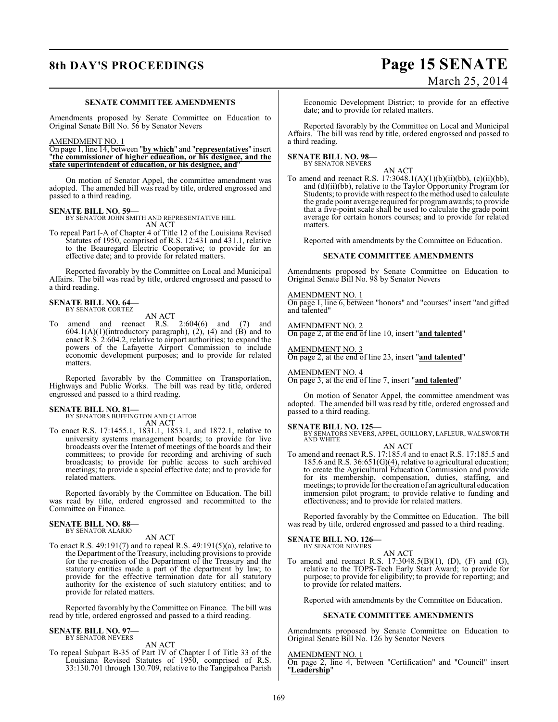## **8th DAY'S PROCEEDINGS Page 15 SENATE** March 25, 2014

#### **SENATE COMMITTEE AMENDMENTS**

Amendments proposed by Senate Committee on Education to Original Senate Bill No. 56 by Senator Nevers

#### AMENDMENT NO. 1

On page 1, line 14, between "**by which**" and "**representatives**" insert "**the commissioner of higher education, or his designee, and the state superintendent of education, or his designee, and**"

On motion of Senator Appel, the committee amendment was adopted. The amended bill was read by title, ordered engrossed and passed to a third reading.

#### **SENATE BILL NO. 59—**

BY SENATOR JOHN SMITH AND REPRESENTATIVE HILL

AN ACT To repeal Part I-A of Chapter 4 of Title 12 of the Louisiana Revised Statutes of 1950, comprised of R.S. 12:431 and 431.1, relative to the Beauregard Electric Cooperative; to provide for an effective date; and to provide for related matters.

Reported favorably by the Committee on Local and Municipal Affairs. The bill was read by title, ordered engrossed and passed to a third reading.

## **SENATE BILL NO. 64—** BY SENATOR CORTEZ

AN ACT

To amend and reenact R.S. 2:604(6) and (7) and  $604.1(A)(1)(introductory paragraph), (2), (4) and (B) and to$ enact R.S. 2:604.2, relative to airport authorities; to expand the powers of the Lafayette Airport Commission to include economic development purposes; and to provide for related matters.

Reported favorably by the Committee on Transportation, Highways and Public Works. The bill was read by title, ordered engrossed and passed to a third reading.

**SENATE BILL NO. 81—** BY SENATORS BUFFINGTON AND CLAITOR AN ACT

To enact R.S. 17:1455.1, 1831.1, 1853.1, and 1872.1, relative to university systems management boards; to provide for live broadcasts over the Internet of meetings of the boards and their committees; to provide for recording and archiving of such broadcasts; to provide for public access to such archived meetings; to provide a special effective date; and to provide for related matters.

Reported favorably by the Committee on Education. The bill was read by title, ordered engrossed and recommitted to the Committee on Finance.

#### **SENATE BILL NO. 88—** BY SENATOR ALARIO

AN ACT

To enact R.S. 49:191(7) and to repeal R.S. 49:191(5)(a), relative to the Department of the Treasury, including provisions to provide for the re-creation of the Department of the Treasury and the statutory entities made a part of the department by law; to provide for the effective termination date for all statutory authority for the existence of such statutory entities; and to provide for related matters.

Reported favorably by the Committee on Finance. The bill was read by title, ordered engrossed and passed to a third reading.

## **SENATE BILL NO. 97—** BY SENATOR NEVERS

AN ACT

To repeal Subpart B-35 of Part IV of Chapter I of Title 33 of the Louisiana Revised Statutes of 1950, comprised of R.S. 33:130.701 through 130.709, relative to the Tangipahoa Parish

Economic Development District; to provide for an effective date; and to provide for related matters.

Reported favorably by the Committee on Local and Municipal Affairs. The bill was read by title, ordered engrossed and passed to a third reading.

### **SENATE BILL NO. 98—**

BY SENATOR NEVERS

AN ACT To amend and reenact R.S. 17:3048.1(A)(1)(b)(ii)(bb), (c)(ii)(bb), and (d)(ii)(bb), relative to the Taylor Opportunity Program for Students; to provide with respect to the method used to calculate the grade point average required for programawards; to provide that a five-point scale shall be used to calculate the grade point average for certain honors courses; and to provide for related matters.

Reported with amendments by the Committee on Education.

#### **SENATE COMMITTEE AMENDMENTS**

Amendments proposed by Senate Committee on Education to Original Senate Bill No. 98 by Senator Nevers

#### AMENDMENT NO. 1

On page 1, line 6, between "honors" and "courses" insert "and gifted and talented"

AMENDMENT NO. 2

On page 2, at the end of line 10, insert "**and talented**"

AMENDMENT NO. 3 On page 2, at the end of line 23, insert "**and talented**"

AMENDMENT NO. 4

On page 3, at the end of line 7, insert "**and talented**"

On motion of Senator Appel, the committee amendment was adopted. The amended bill was read by title, ordered engrossed and passed to a third reading.

**SENATE BILL NO. 125—**<br>BY SENATORS NEVERS, APPEL, GUILLORY, LAFLEUR, WALSWORTH<br>AND WHITE AN ACT

To amend and reenact R.S. 17:185.4 and to enact R.S. 17:185.5 and 185.6 and R.S. 36:651(G)(4), relative to agricultural education; to create the Agricultural Education Commission and provide for its membership, compensation, duties, staffing, and meetings; to provide for the creation of an agricultural education immersion pilot program; to provide relative to funding and effectiveness; and to provide for related matters.

Reported favorably by the Committee on Education. The bill was read by title, ordered engrossed and passed to a third reading.

#### **SENATE BILL NO. 126—** BY SENATOR NEVERS

AN ACT

To amend and reenact R.S. 17:3048.5(B)(1), (D), (F) and (G), relative to the TOPS-Tech Early Start Award; to provide for purpose; to provide for eligibility; to provide for reporting; and to provide for related matters.

Reported with amendments by the Committee on Education.

#### **SENATE COMMITTEE AMENDMENTS**

Amendments proposed by Senate Committee on Education to Original Senate Bill No. 126 by Senator Nevers

#### AMENDMENT NO. 1

On page 2, line 4, between "Certification" and "Council" insert "**Leadership**"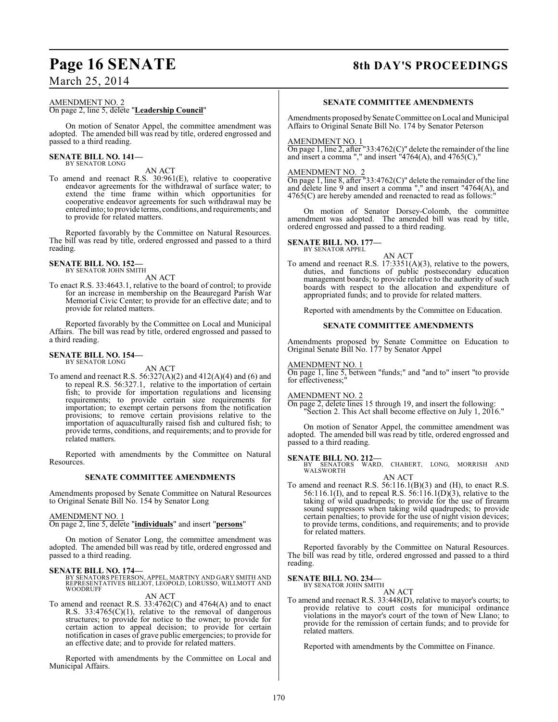## March 25, 2014

### AMENDMENT NO. 2 On page 2, line 5, delete "**Leadership Council**"

On motion of Senator Appel, the committee amendment was adopted. The amended bill was read by title, ordered engrossed and passed to a third reading.

#### **SENATE BILL NO. 141—** BY SENATOR LONG

AN ACT

To amend and reenact R.S. 30:961(E), relative to cooperative endeavor agreements for the withdrawal of surface water; to extend the time frame within which opportunities for cooperative endeavor agreements for such withdrawal may be entered into; to provide terms, conditions, and requirements; and to provide for related matters.

Reported favorably by the Committee on Natural Resources. The bill was read by title, ordered engrossed and passed to a third reading.

## **SENATE BILL NO. 152—** BY SENATOR JOHN SMITH

AN ACT

To enact R.S. 33:4643.1, relative to the board of control; to provide for an increase in membership on the Beauregard Parish War Memorial Civic Center; to provide for an effective date; and to provide for related matters.

Reported favorably by the Committee on Local and Municipal Affairs. The bill was read by title, ordered engrossed and passed to a third reading.

## **SENATE BILL NO. 154—** BY SENATOR LONG

AN ACT

To amend and reenact R.S. 56:327(A)(2) and 412(A)(4) and (6) and to repeal R.S. 56:327.1, relative to the importation of certain fish; to provide for importation regulations and licensing requirements; to provide certain size requirements for importation; to exempt certain persons from the notification provisions; to remove certain provisions relative to the importation of aquaculturally raised fish and cultured fish; to provide terms, conditions, and requirements; and to provide for related matters.

Reported with amendments by the Committee on Natural Resources.

#### **SENATE COMMITTEE AMENDMENTS**

Amendments proposed by Senate Committee on Natural Resources to Original Senate Bill No. 154 by Senator Long

#### AMENDMENT NO. 1

On page 2, line 5, delete "**individuals**" and insert "**persons**"

On motion of Senator Long, the committee amendment was adopted. The amended bill was read by title, ordered engrossed and passed to a third reading.

**SENATE BILL NO. 174—** BY SENATORS PETERSON, APPEL, MARTINY AND GARY SMITH AND REPRESENTATIVES BILLIOT, LEOPOLD, LORUSSO, WILLMOTT AND WOODRUFF

AN ACT

To amend and reenact R.S. 33:4762(C) and 4764(A) and to enact R.S.  $33:4765(C)(1)$ , relative to the removal of dangerous structures; to provide for notice to the owner; to provide for certain action to appeal decision; to provide for certain notification in cases of grave public emergencies; to provide for an effective date; and to provide for related matters.

Reported with amendments by the Committee on Local and Municipal Affairs.

## Page 16 SENATE 8th DAY'S PROCEEDINGS

#### **SENATE COMMITTEE AMENDMENTS**

Amendments proposed by Senate Committee on Local and Municipal Affairs to Original Senate Bill No. 174 by Senator Peterson

#### AMENDMENT NO. 1

On page 1, line 2, after "33:4762 $(C)$ " delete the remainder of the line and insert a comma "," and insert "4764(A), and 4765(C),"

#### AMENDMENT NO. 2

On page 1, line 8, after "33:4762(C)" delete the remainder of the line and delete line 9 and insert a comma "," and insert "4764(A), and 4765(C) are hereby amended and reenacted to read as follows:"

On motion of Senator Dorsey-Colomb, the committee amendment was adopted. The amended bill was read by title, ordered engrossed and passed to a third reading.

**SENATE BILL NO. 177—** BY SENATOR APPEL

AN ACT

To amend and reenact R.S. 17:3351(A)(3), relative to the powers, duties, and functions of public postsecondary education management boards; to provide relative to the authority of such boards with respect to the allocation and expenditure of appropriated funds; and to provide for related matters.

Reported with amendments by the Committee on Education.

#### **SENATE COMMITTEE AMENDMENTS**

Amendments proposed by Senate Committee on Education to Original Senate Bill No. 177 by Senator Appel

#### AMENDMENT NO. 1

On page 1, line 5, between "funds;" and "and to" insert "to provide for effectiveness;

#### AMENDMENT NO. 2

On page 2, delete lines 15 through 19, and insert the following: "Section 2. This Act shall become effective on July 1, 2016."

On motion of Senator Appel, the committee amendment was adopted. The amended bill was read by title, ordered engrossed and passed to a third reading.

**SENATE BILL NO. 212—**<br>BY SENATORS WARD, CHABERT, LONG, MORRISH AND WALSWORTH

- AN ACT
- To amend and reenact R.S.  $56:116.1(B)(3)$  and (H), to enact R.S. 56:116.1(I), and to repeal R.S. 56:116.1(D)(3), relative to the taking of wild quadrupeds; to provide for the use of firearm sound suppressors when taking wild quadrupeds; to provide certain penalties; to provide for the use of night vision devices; to provide terms, conditions, and requirements; and to provide for related matters.

Reported favorably by the Committee on Natural Resources. The bill was read by title, ordered engrossed and passed to a third reading.

## **SENATE BILL NO. 234—** BY SENATOR JOHN SMITH

AN ACT

To amend and reenact R.S. 33:448(D), relative to mayor's courts; to provide relative to court costs for municipal ordinance violations in the mayor's court of the town of New Llano; to provide for the remission of certain funds; and to provide for related matters.

Reported with amendments by the Committee on Finance.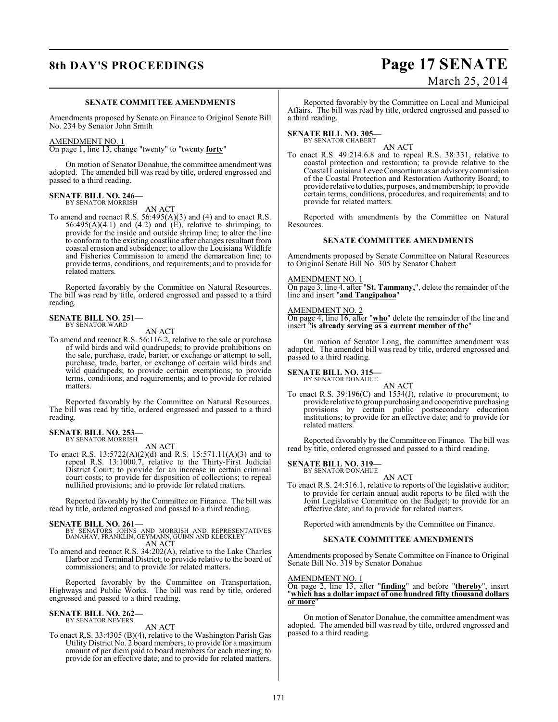## **8th DAY'S PROCEEDINGS Page 17 SENATE** March 25, 2014

#### **SENATE COMMITTEE AMENDMENTS**

Amendments proposed by Senate on Finance to Original Senate Bill No. 234 by Senator John Smith

#### AMENDMENT NO. 1

On page 1, line 13, change "twenty" to "twenty **forty**"

On motion of Senator Donahue, the committee amendment was adopted. The amended bill was read by title, ordered engrossed and passed to a third reading.

#### **SENATE BILL NO. 246—** BY SENATOR MORRISH

AN ACT

To amend and reenact R.S. 56:495(A)(3) and (4) and to enact R.S.  $56:495(A)(4.1)$  and  $(4.2)$  and  $(E)$ , relative to shrimping; to provide for the inside and outside shrimp line; to alter the line to conform to the existing coastline after changes resultant from coastal erosion and subsidence; to allow the Louisiana Wildlife and Fisheries Commission to amend the demarcation line; to provide terms, conditions, and requirements; and to provide for related matters.

Reported favorably by the Committee on Natural Resources. The bill was read by title, ordered engrossed and passed to a third reading.

#### **SENATE BILL NO. 251—** BY SENATOR WARD

AN ACT

To amend and reenact R.S. 56:116.2, relative to the sale or purchase of wild birds and wild quadrupeds; to provide prohibitions on the sale, purchase, trade, barter, or exchange or attempt to sell, purchase, trade, barter, or exchange of certain wild birds and wild quadrupeds; to provide certain exemptions; to provide terms, conditions, and requirements; and to provide for related matters.

Reported favorably by the Committee on Natural Resources. The bill was read by title, ordered engrossed and passed to a third reading.

#### **SENATE BILL NO. 253** BY SENATOR MORRISH

AN ACT

To enact R.S. 13:5722(A)(2)(d) and R.S. 15:571.11(A)(3) and to repeal R.S. 13:1000.7, relative to the Thirty-First Judicial District Court; to provide for an increase in certain criminal court costs; to provide for disposition of collections; to repeal nullified provisions; and to provide for related matters.

Reported favorably by the Committee on Finance. The bill was read by title, ordered engrossed and passed to a third reading.

- **SENATE BILL NO. 261—** BY SENATORS JOHNS AND MORRISH AND REPRESENTATIVES DANAHAY, FRANKLIN, GEYMANN, GUINN AND KLECKLEY AN ACT
- To amend and reenact R.S. 34:202(A), relative to the Lake Charles Harbor and Terminal District; to provide relative to the board of commissioners; and to provide for related matters.

Reported favorably by the Committee on Transportation, Highways and Public Works. The bill was read by title, ordered engrossed and passed to a third reading.

#### **SENATE BILL NO. 262—** BY SENATOR NEVERS

AN ACT

To enact R.S. 33:4305 (B)(4), relative to the Washington Parish Gas Utility District No. 2 board members; to provide for a maximum amount of per diem paid to board members for each meeting; to provide for an effective date; and to provide for related matters.

Reported favorably by the Committee on Local and Municipal Affairs. The bill was read by title, ordered engrossed and passed to a third reading.

### **SENATE BILL NO. 305—**

BY SENATOR CHABERT AN ACT

To enact R.S. 49:214.6.8 and to repeal R.S. 38:331, relative to coastal protection and restoration; to provide relative to the Coastal Louisiana Levee Consortium as an advisory commission of the Coastal Protection and Restoration Authority Board; to provide relative to duties, purposes, and membership; to provide certain terms, conditions, procedures, and requirements; and to provide for related matters.

Reported with amendments by the Committee on Natural Resources.

#### **SENATE COMMITTEE AMENDMENTS**

Amendments proposed by Senate Committee on Natural Resources to Original Senate Bill No. 305 by Senator Chabert

#### AMENDMENT NO. 1

On page 3, line 4, after "**St. Tammany,**", delete the remainder of the line and insert "**and Tangipahoa**"

#### AMENDMENT NO. 2

On page 4, line 16, after "**who**" delete the remainder of the line and insert "**is already serving as a current member of the**"

On motion of Senator Long, the committee amendment was adopted. The amended bill was read by title, ordered engrossed and passed to a third reading.

#### **SENATE BILL NO. 315—**

BY SENATOR DONAHUE

AN ACT To enact R.S. 39:196(C) and 1554(J), relative to procurement; to provide relative to group purchasing and cooperative purchasing provisions by certain public postsecondary education institutions; to provide for an effective date; and to provide for related matters.

Reported favorably by the Committee on Finance. The bill was read by title, ordered engrossed and passed to a third reading.

#### **SENATE BILL NO. 319—**

BY SENATOR DONAHUE AN ACT

To enact R.S. 24:516.1, relative to reports of the legislative auditor; to provide for certain annual audit reports to be filed with the Joint Legislative Committee on the Budget; to provide for an effective date; and to provide for related matters.

Reported with amendments by the Committee on Finance.

#### **SENATE COMMITTEE AMENDMENTS**

Amendments proposed by Senate Committee on Finance to Original Senate Bill No. 319 by Senator Donahue

#### AMENDMENT NO. 1

On page 2, line 13, after "**finding**" and before "**thereby**", insert "**which has a dollar impact of one hundred fifty thousand dollars or more**"

On motion of Senator Donahue, the committee amendment was adopted. The amended bill was read by title, ordered engrossed and passed to a third reading.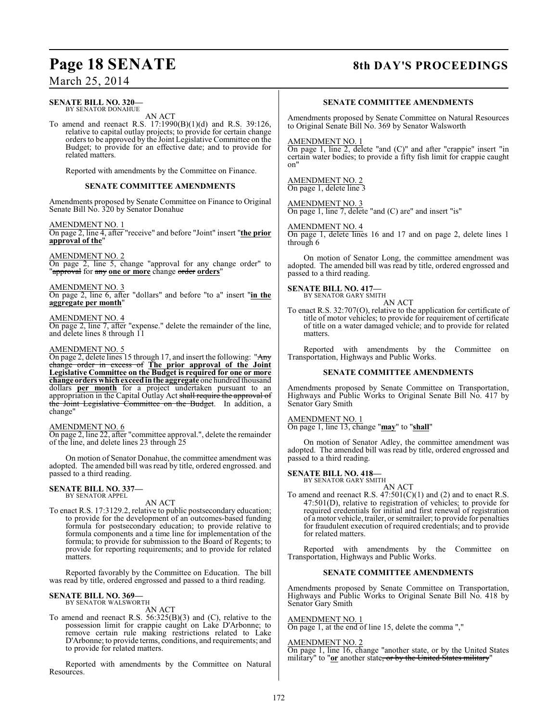## Page 18 SENATE 8th DAY'S PROCEEDINGS

## March 25, 2014

#### **SENATE BILL NO. 320—** BY SENATOR DONAHUE

AN ACT

To amend and reenact R.S. 17:1990(B)(1)(d) and R.S. 39:126, relative to capital outlay projects; to provide for certain change orders to be approved by the Joint Legislative Committee on the Budget; to provide for an effective date; and to provide for related matters.

Reported with amendments by the Committee on Finance.

### **SENATE COMMITTEE AMENDMENTS**

Amendments proposed by Senate Committee on Finance to Original Senate Bill No. 320 by Senator Donahue

### AMENDMENT NO. 1

On page 2, line 4, after "receive" and before "Joint" insert "**the prior approval of the**"

#### AMENDMENT NO. 2

On page 2, line 5, change "approval for any change order" to "approval for any **one or more** change order **orders**"

#### AMENDMENT NO. 3

On page 2, line 6, after "dollars" and before "to a" insert "**in the aggregate per month**"

#### AMENDMENT NO. 4

On page 2, line 7, after "expense." delete the remainder of the line, and delete lines 8 through 11

#### AMENDMENT NO. 5

On page 2, delete lines 15 through 17, and insert the following: "Any change order in excess of **The prior approval of the Joint Legislative Committee on the Budget is required for one or more change orders which exceed in the aggregate** one hundred thousand dollars **per month** for a project undertaken pursuant to an appropriation in the Capital Outlay Act shall require the approval of the Joint Legislative Committee on the Budget. In addition, a change"

### AMENDMENT NO. 6

On page 2, line 22, after "committee approval.", delete the remainder of the line, and delete lines 23 through 25

On motion of Senator Donahue, the committee amendment was adopted. The amended bill was read by title, ordered engrossed. and passed to a third reading.

#### **SENATE BILL NO. 337—** BY SENATOR APPEL

AN ACT

To enact R.S. 17:3129.2, relative to public postsecondary education; to provide for the development of an outcomes-based funding formula for postsecondary education; to provide relative to formula components and a time line for implementation of the formula; to provide for submission to the Board of Regents; to provide for reporting requirements; and to provide for related matters.

Reported favorably by the Committee on Education. The bill was read by title, ordered engrossed and passed to a third reading.

#### **SENATE BILL NO. 369—** BY SENATOR WALSWORTH

AN ACT

To amend and reenact R.S. 56:325(B)(3) and (C), relative to the possession limit for crappie caught on Lake D'Arbonne; to remove certain rule making restrictions related to Lake D'Arbonne; to provide terms, conditions, and requirements; and to provide for related matters.

Reported with amendments by the Committee on Natural Resources.

#### **SENATE COMMITTEE AMENDMENTS**

Amendments proposed by Senate Committee on Natural Resources to Original Senate Bill No. 369 by Senator Walsworth

#### AMENDMENT NO. 1

On page 1, line 2, delete "and (C)" and after "crappie" insert "in certain water bodies; to provide a fifty fish limit for crappie caught on"

AMENDMENT NO. 2 On page 1, delete line 3

AMENDMENT NO. 3 On page 1, line 7, delete "and (C) are" and insert "is"

AMENDMENT NO. 4

On page 1, delete lines 16 and 17 and on page 2, delete lines 1 through 6

On motion of Senator Long, the committee amendment was adopted. The amended bill was read by title, ordered engrossed and passed to a third reading.

**SENATE BILL NO. 417—**<br>BY SENATOR GARY SMITH

AN ACT

To enact R.S. 32:707(O), relative to the application for certificate of title of motor vehicles; to provide for requirement of certificate of title on a water damaged vehicle; and to provide for related matters.

Reported with amendments by the Committee on Transportation, Highways and Public Works.

#### **SENATE COMMITTEE AMENDMENTS**

Amendments proposed by Senate Committee on Transportation, Highways and Public Works to Original Senate Bill No. 417 by Senator Gary Smith

### AMENDMENT NO. 1

On page 1, line 13, change "**may**" to "**shall**"

On motion of Senator Adley, the committee amendment was adopted. The amended bill was read by title, ordered engrossed and passed to a third reading.

### **SENATE BILL NO. 418—**

BY SENATOR GARY SMITH AN ACT

To amend and reenact R.S.  $47:501(C)(1)$  and (2) and to enact R.S. 47:501(D), relative to registration of vehicles; to provide for required credentials for initial and first renewal of registration of a motor vehicle, trailer, or semitrailer; to provide for penalties for fraudulent execution of required credentials; and to provide for related matters.

Reported with amendments by the Committee on Transportation, Highways and Public Works.

#### **SENATE COMMITTEE AMENDMENTS**

Amendments proposed by Senate Committee on Transportation, Highways and Public Works to Original Senate Bill No. 418 by Senator Gary Smith

#### AMENDMENT NO. 1

On page 1, at the end of line 15, delete the comma ","

#### AMENDMENT NO. 2

On page 1, line 16, change "another state, or by the United States military" to "**or** another state, or by the United States military"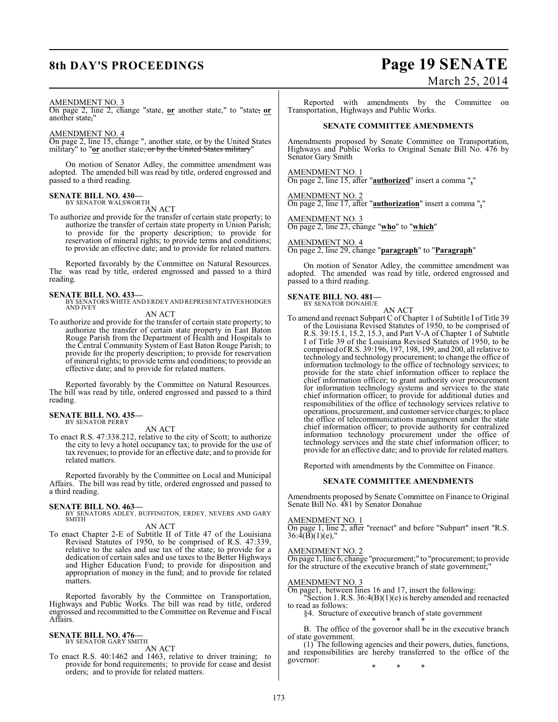## **8th DAY'S PROCEEDINGS Page 19 SENATE** March 25, 2014

#### AMENDMENT NO. 3

On page 2, line 2, change "state, **or** another state," to "state, **or** another state,"

#### AMENDMENT NO. 4

On page 2, line 15, change ", another state, or by the United States military" to "or another state, or by the United States military"

On motion of Senator Adley, the committee amendment was adopted. The amended bill was read by title, ordered engrossed and passed to a third reading.

## **SENATE BILL NO. 430—** BY SENATOR WALSWORTH

AN ACT

To authorize and provide for the transfer of certain state property; to

authorize the transfer of certain state property in Union Parish; to provide for the property description; to provide for reservation of mineral rights; to provide terms and conditions; to provide an effective date; and to provide for related matters.

Reported favorably by the Committee on Natural Resources. The was read by title, ordered engrossed and passed to a third reading.

**SENATE BILL NO. 433—** BY SENATORS WHITE AND ERDEY AND REPRESENTATIVES HODGES AND IVEY

AN ACT

To authorize and provide for the transfer of certain state property; to authorize the transfer of certain state property in East Baton Rouge Parish from the Department of Health and Hospitals to the Central Community System of East Baton Rouge Parish; to provide for the property description; to provide for reservation of mineral rights; to provide terms and conditions; to provide an effective date; and to provide for related matters.

Reported favorably by the Committee on Natural Resources. The bill was read by title, ordered engrossed and passed to a third reading.

#### **SENATE BILL NO. 435—** BY SENATOR PERRY

AN ACT

To enact R.S. 47:338.212, relative to the city of Scott; to authorize the city to levy a hotel occupancy tax; to provide for the use of tax revenues; to provide for an effective date; and to provide for related matters.

Reported favorably by the Committee on Local and Municipal Affairs. The bill was read by title, ordered engrossed and passed to a third reading.

**SENATE BILL NO. 463—** BY SENATORS ADLEY, BUFFINGTON, ERDEY, NEVERS AND GARY SMITH

#### AN ACT

To enact Chapter 2-E of Subtitle II of Title 47 of the Louisiana Revised Statutes of 1950, to be comprised of R.S. 47:339, relative to the sales and use tax of the state; to provide for a dedication of certain sales and use taxes to the Better Highways and Higher Education Fund; to provide for disposition and appropriation of money in the fund; and to provide for related matters.

Reported favorably by the Committee on Transportation, Highways and Public Works. The bill was read by title, ordered engrossed and recommitted to the Committee on Revenue and Fiscal Affairs.

#### **SENATE BILL NO. 476—** BY SENATOR GARY SMITH

AN ACT

To enact R.S. 40:1462 and 1463, relative to driver training; to provide for bond requirements; to provide for cease and desist orders; and to provide for related matters.

Reported with amendments by the Committee on Transportation, Highways and Public Works.

#### **SENATE COMMITTEE AMENDMENTS**

Amendments proposed by Senate Committee on Transportation, Highways and Public Works to Original Senate Bill No. 476 by Senator Gary Smith

AMENDMENT NO. 1

On page 2, line 15, after "**authorized**" insert a comma "**,**"

AMENDMENT NO. 2

On page 2, line 17, after "**authorization**" insert a comma "**,**"

#### AMENDMENT NO. 3

On page 2, line 23, change "**who**" to "**which**"

AMENDMENT NO. 4

On page 2, line 29, change "**paragraph**" to "**Paragraph**"

On motion of Senator Adley, the committee amendment was adopted. The amended was read by title, ordered engrossed and passed to a third reading.

## **SENATE BILL NO. 481—** BY SENATOR DONAHUE

AN ACT

To amend and reenact Subpart C of Chapter 1 of Subtitle I of Title 39 of the Louisiana Revised Statutes of 1950, to be comprised of R.S. 39:15.1, 15.2, 15.3, and Part V-A of Chapter 1 of Subtitle I of Title 39 of the Louisiana Revised Statutes of 1950, to be comprised ofR.S. 39:196, 197, 198, 199, and 200, all relative to technology and technology procurement; to change the office of information technology to the office of technology services; to provide for the state chief information officer to replace the chief information officer; to grant authority over procurement for information technology systems and services to the state chief information officer; to provide for additional duties and responsibilities of the office of technology services relative to operations, procurement, and customer service charges; to place the office of telecommunications management under the state chief information officer; to provide authority for centralized information technology procurement under the office of technology services and the state chief information officer; to provide for an effective date; and to provide for related matters.

Reported with amendments by the Committee on Finance.

#### **SENATE COMMITTEE AMENDMENTS**

Amendments proposed by Senate Committee on Finance to Original Senate Bill No. 481 by Senator Donahue

#### AMENDMENT NO. 1

On page 1, line 2, after "reenact" and before "Subpart" insert "R.S.  $36:\bar{4}(\bar{B})(1)(e),"$ 

#### AMENDMENT NO. 2

On page 1, line 6, change "procurement;" to "procurement; to provide for the structure of the executive branch of state government;"

#### AMENDMENT NO. 3

On page1, between lines 16 and 17, insert the following: "Section 1. R.S.  $36:4(B)(1)(e)$  is hereby amended and reenacted to read as follows:

§4. Structure of executive branch of state government

\* \* \*

B. The office of the governor shall be in the executive branch of state government.

(1) The following agencies and their powers, duties, functions, and responsibilities are hereby transferred to the office of the governor: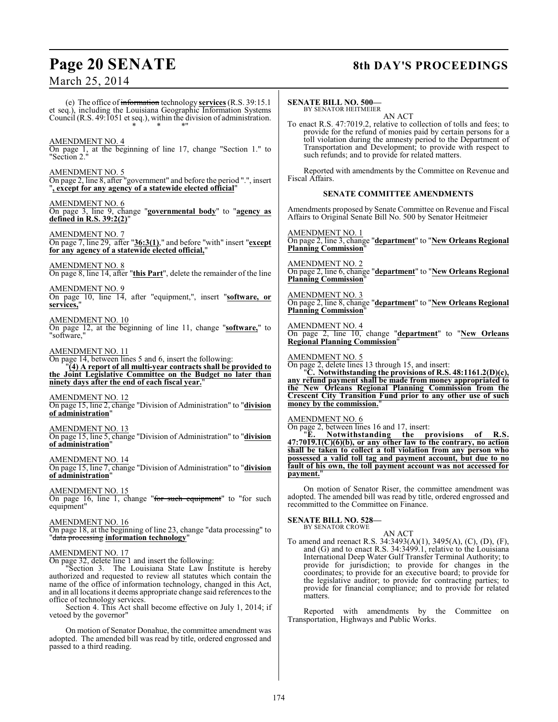## **Page 20 SENATE 8th DAY'S PROCEEDINGS**

March 25, 2014

(e) The office of information technology **services** (R.S. 39:15.1 et seq.), including the Louisiana Geographic Information Systems Council (R.S. 49:1051 et seq.), within the division of administration. \* \* \*"

### AMENDMENT NO. 4

On page 1, at the beginning of line 17, change "Section 1." to "Section 2."

#### AMENDMENT NO. 5

On page 2, line 8, after "government" and before the period ".", insert "**, except for any agency of a statewide elected official**"

#### AMENDMENT NO. 6

On page 3, line 9, change "**governmental body**" to "**agency as defined in R.S. 39:2(2)**"

AMENDMENT NO. 7 On page 7, line 29, after "**36:3(1)**," and before "with" insert "**except for any agency of a statewide elected official,**"

AMENDMENT NO. 8 On page 8, line 14, after "**this Part**", delete the remainder of the line

AMENDMENT NO. 9 On page 10, line 14, after "equipment,", insert "**software, or** services.

#### AMENDMENT NO. 10

On page 12, at the beginning of line 11, change "**software,**" to "software,"

#### AMENDMENT NO. 11

On page 14, between lines 5 and 6, insert the following: "**(4) A report of all multi-year contracts shall be provided to the Joint Legislative Committee on the Budget no later than ninety days after the end of each fiscal year.**"

AMENDMENT NO. 12 On page 15, line 2, change "Division of Administration" to "**division of administration**"

AMENDMENT NO. 13 On page 15, line 5, change "Division of Administration" to "**division of administration**"

AMENDMENT NO. 14 On page 15, line 7, change "Division of Administration" to "**division of administration**"

AMENDMENT NO. 15 On page 16, line 1, change "for such equipment" to "for such equipment"

#### AMENDMENT NO. 16

On page 18, at the beginning of line 23, change "data processing" to "data processing **information technology**"

#### AMENDMENT NO. 17

On page 32, delete line 1 and insert the following:

"Section 3. The Louisiana State Law Institute is hereby authorized and requested to review all statutes which contain the name of the office of information technology, changed in this Act, and in all locations it deems appropriate change said references to the office of technology services.

Section 4. This Act shall become effective on July 1, 2014; if vetoed by the governor"

On motion of Senator Donahue, the committee amendment was adopted. The amended bill was read by title, ordered engrossed and passed to a third reading.

#### **SENATE BILL NO. 500—** BY SENATOR HEITMEIER

AN ACT

To enact R.S. 47:7019.2, relative to collection of tolls and fees; to provide for the refund of monies paid by certain persons for a toll violation during the amnesty period to the Department of Transportation and Development; to provide with respect to such refunds; and to provide for related matters.

Reported with amendments by the Committee on Revenue and Fiscal Affairs.

#### **SENATE COMMITTEE AMENDMENTS**

Amendments proposed by Senate Committee on Revenue and Fiscal Affairs to Original Senate Bill No. 500 by Senator Heitmeier

AMENDMENT NO. 1 On page 2, line 3, change "**department**" to "**New Orleans Regional Planning Commission**"

AMENDMENT NO. 2 On page 2, line 6, change "**department**" to "**New Orleans Regional Planning Commission**"

AMENDMENT NO. 3 On page 2, line 8, change "**department**" to "**New Orleans Regional Planning Commission**"

AMENDMENT NO. 4 On page 2, line 10, change "**department**" to "**New Orleans Regional Planning Commission**"

AMENDMENT NO. 5

On page 2, delete lines 13 through 15, and insert: "**C. Notwithstanding the provisions of R.S. 48:1161.2(D)(c),**

**any refund payment shall be made from money appropriated to the New Orleans Regional Planning Commission from the Crescent City Transition Fund prior to any other use of such money by the commission.**"

AMENDMENT NO. 6

On page 2, between lines 16 and 17, insert:<br>"E. Notwithstanding the pu

"**E. Notwithstanding the provisions of R.S. 47:7019.1(C)(6)(b), or any other law to the contrary, no action shall be taken to collect a toll violation from any person who possessed a valid toll tag and payment account, but due to no fault of his own, the toll payment account was not accessed for** payment.

On motion of Senator Riser, the committee amendment was adopted. The amended bill was read by title, ordered engrossed and recommitted to the Committee on Finance.

## **SENATE BILL NO. 528—** BY SENATOR CROWE

AN ACT To amend and reenact R.S. 34:3493(A)(1), 3495(A), (C), (D), (F), and (G) and to enact R.S. 34:3499.1, relative to the Louisiana International Deep Water Gulf Transfer Terminal Authority; to provide for jurisdiction; to provide for changes in the coordinates; to provide for an executive board; to provide for the legislative auditor; to provide for contracting parties; to provide for financial compliance; and to provide for related matters.

Reported with amendments by the Committee on Transportation, Highways and Public Works.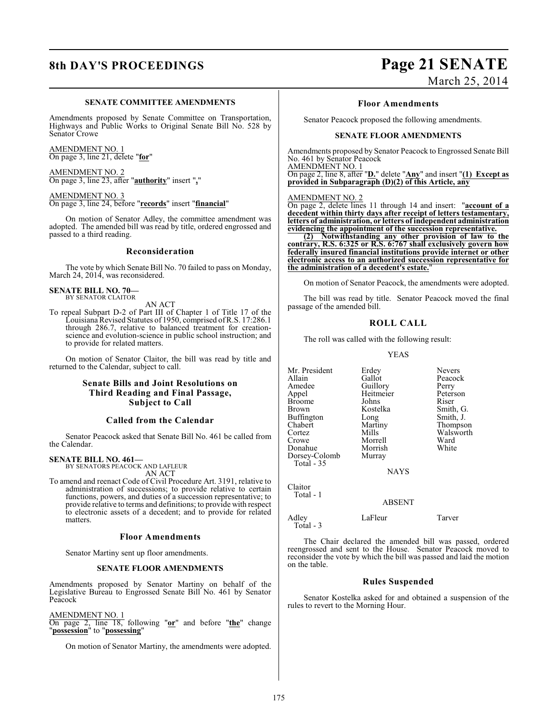#### **SENATE COMMITTEE AMENDMENTS**

Amendments proposed by Senate Committee on Transportation, Highways and Public Works to Original Senate Bill No. 528 by Senator Crowe

AMENDMENT NO. 1 On page 3, line 21, delete "**for**"

AMENDMENT NO. 2 On page 3, line 23, after "**authority**" insert "**,**"

AMENDMENT NO. 3 On page 3, line 24, before "**records**" insert "**financial**"

On motion of Senator Adley, the committee amendment was adopted. The amended bill was read by title, ordered engrossed and passed to a third reading.

#### **Reconsideration**

The vote by which Senate Bill No. 70 failed to pass on Monday, March 24, 2014, was reconsidered.

#### **SENATE BILL NO. 70—** BY SENATOR CLAITOR

AN ACT

To repeal Subpart D-2 of Part III of Chapter 1 of Title 17 of the Louisiana Revised Statutes of 1950, comprised of R.S. 17:286.1 through 286.7, relative to balanced treatment for creationscience and evolution-science in public school instruction; and to provide for related matters.

On motion of Senator Claitor, the bill was read by title and returned to the Calendar, subject to call.

### **Senate Bills and Joint Resolutions on Third Reading and Final Passage, Subject to Call**

### **Called from the Calendar**

Senator Peacock asked that Senate Bill No. 461 be called from the Calendar.

#### **SENATE BILL NO. 461—**

BY SENATORS PEACOCK AND LAFLEUR AN ACT

To amend and reenact Code of Civil Procedure Art. 3191, relative to administration of successions; to provide relative to certain functions, powers, and duties of a succession representative; to provide relative to terms and definitions; to provide with respect to electronic assets of a decedent; and to provide for related matters.

#### **Floor Amendments**

Senator Martiny sent up floor amendments.

#### **SENATE FLOOR AMENDMENTS**

Amendments proposed by Senator Martiny on behalf of the Legislative Bureau to Engrossed Senate Bill No. 461 by Senator Peacock

#### AMENDMENT NO. 1

On page 2, line 18, following "**or**" and before "**the**" change "**possession**" to "**possessing**"

On motion of Senator Martiny, the amendments were adopted.

## **8th DAY'S PROCEEDINGS Page 21 SENATE** March 25, 2014

**Floor Amendments**

Senator Peacock proposed the following amendments.

#### **SENATE FLOOR AMENDMENTS**

Amendments proposed by Senator Peacock to Engrossed Senate Bill No. 461 by Senator Peacock

AMENDMENT NO. 1 On page 2, line 8, after "**D.**" delete "**Any**" and insert "**(1) Except as provided in Subparagraph (D)(2) of this Article, any**

#### AMENDMENT NO. 2

On page 2, delete lines 11 through 14 and insert: "**account of a decedent within thirty days after receipt of letters testamentary, letters of administration, or letters of independent administration evidencing the appointment of the succession representative.**

**(2) Notwithstanding any other provision of law to the contrary, R.S. 6:325 or R.S. 6:767 shall exclusively govern how federally insured financial institutions provide internet or other electronic access to an authorized succession representative for the administration of a decedent's estate.**"

On motion of Senator Peacock, the amendments were adopted.

The bill was read by title. Senator Peacock moved the final passage of the amended bill.

#### **ROLL CALL**

The roll was called with the following result:

#### YEAS

Mr. President Erdey Nevers<br>Allain Gallot Peacoc Allain Gallot Peacock<br>Amedee Guillory Perry Amedee Guillory Perry<br>
Appel Heitmeier Peterson Broome Johns<br>Brown Kostelka Buffington Long<br>Chabert Martiny Chabert Martiny Thompson Cortez Mills Walsworth<br>Crowe Morrell Ward Donahue Morrish<br>Dorsey-Colomb Murray Dorsey-Colomb Total - 35

Heitmeier Peters<br>
Johns Riser Kostelka Smith, G.<br>
Long Smith, J. Morrell Ward<br>
Morrish White

**NAYS** 

ABSENT

Claitor Total - 1

Total - 3

Adley LaFleur Tarver

The Chair declared the amended bill was passed, ordered reengrossed and sent to the House. Senator Peacock moved to reconsider the vote by which the bill was passed and laid the motion on the table.

#### **Rules Suspended**

Senator Kostelka asked for and obtained a suspension of the rules to revert to the Morning Hour.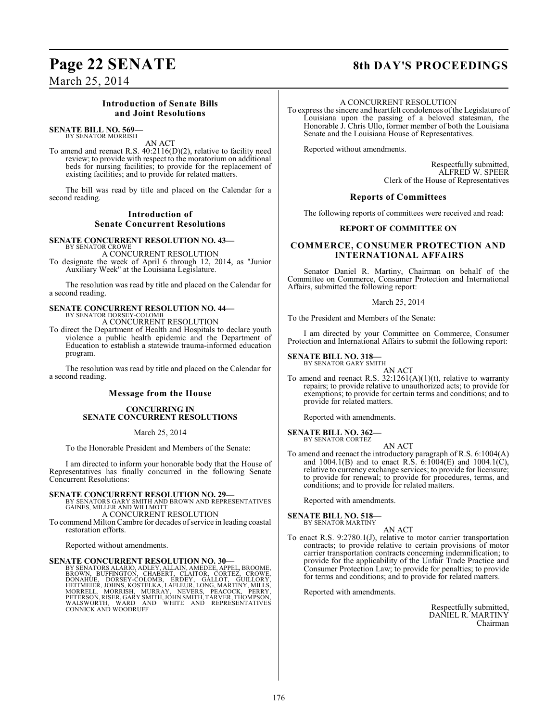## March 25, 2014

### **Introduction of Senate Bills and Joint Resolutions**

#### **SENATE BILL NO. 569—** BY SENATOR MORRISH

AN ACT

To amend and reenact R.S. 40:2116(D)(2), relative to facility need review; to provide with respect to the moratorium on additional beds for nursing facilities; to provide for the replacement of existing facilities; and to provide for related matters.

The bill was read by title and placed on the Calendar for a second reading.

### **Introduction of Senate Concurrent Resolutions**

**SENATE CONCURRENT RESOLUTION NO. 43—** BY SENATOR CROWE

A CONCURRENT RESOLUTION

To designate the week of April 6 through 12, 2014, as "Junior Auxiliary Week" at the Louisiana Legislature.

The resolution was read by title and placed on the Calendar for a second reading.

#### **SENATE CONCURRENT RESOLUTION NO. 44—** BY SENATOR DORSEY-COLOMB

A CONCURRENT RESOLUTION

To direct the Department of Health and Hospitals to declare youth violence a public health epidemic and the Department of Education to establish a statewide trauma-informed education program.

The resolution was read by title and placed on the Calendar for a second reading.

### **Message from the House**

#### **CONCURRING IN SENATE CONCURRENT RESOLUTIONS**

March 25, 2014

To the Honorable President and Members of the Senate:

I am directed to inform your honorable body that the House of Representatives has finally concurred in the following Senate Concurrent Resolutions:

**SENATE CONCURRENT RESOLUTION NO. 29—** BY SENATORS GARY SMITH AND BROWN AND REPRESENTATIVES GAINES, MILLER AND WILLMOTT

A CONCURRENT RESOLUTION

To commend Milton Cambre for decades of service in leading coastal restoration efforts.

Reported without amendments.

#### **SENATE CONCURRENT RESOLUTION NO. 30—**

BY SENATORS ALARIO, ADLEY, ALLAIN, AMEDEE, APPEL, BROOME,<br>BROWN, BUFFINGTON, CHABERT, CLAITOR, CORTEZ, CROWE,<br>DONAHUE, DORSEY-COLOMB, ERDEY, GALLOT, GUILLORY,<br>HEITMEIER, JOHNS, KOSTELKA, LAFLEUR, LONG, MARTINY, MILLS,<br>MORR

## **Page 22 SENATE 8th DAY'S PROCEEDINGS**

#### A CONCURRENT RESOLUTION

To express the sincere and heartfelt condolences of the Legislature of Louisiana upon the passing of a beloved statesman, the Honorable J. Chris Ullo, former member of both the Louisiana Senate and the Louisiana House of Representatives.

Reported without amendments.

Respectfully submitted, ALFRED W. SPEER Clerk of the House of Representatives

#### **Reports of Committees**

The following reports of committees were received and read:

#### **REPORT OF COMMITTEE ON**

### **COMMERCE, CONSUMER PROTECTION AND INTERNATIONAL AFFAIRS**

Senator Daniel R. Martiny, Chairman on behalf of the Committee on Commerce, Consumer Protection and International Affairs, submitted the following report:

#### March 25, 2014

To the President and Members of the Senate:

I am directed by your Committee on Commerce, Consumer Protection and International Affairs to submit the following report:

## **SENATE BILL NO. 318-**<br>BY SENATOR GARY SMITH

AN ACT

To amend and reenact R.S.  $32:1261(A)(1)(t)$ , relative to warranty repairs; to provide relative to unauthorized acts; to provide for exemptions; to provide for certain terms and conditions; and to provide for related matters.

Reported with amendments.

#### **SENATE BILL NO. 362—** BY SENATOR CORTEZ

AN ACT To amend and reenact the introductory paragraph of R.S. 6:1004(A) and 1004.1(B) and to enact R.S.  $6:100\overline{4}$ (E) and 1004.1(C), relative to currency exchange services; to provide for licensure; to provide for renewal; to provide for procedures, terms, and conditions; and to provide for related matters.

Reported with amendments.

### **SENATE BILL NO. 518—**

BY SENATOR MARTINY

- AN ACT
- To enact R.S. 9:2780.1(J), relative to motor carrier transportation contracts; to provide relative to certain provisions of motor carrier transportation contracts concerning indemnification; to provide for the applicability of the Unfair Trade Practice and Consumer Protection Law; to provide for penalties; to provide for terms and conditions; and to provide for related matters.

Reported with amendments.

Respectfully submitted, DANIEL R. MARTINY Chairman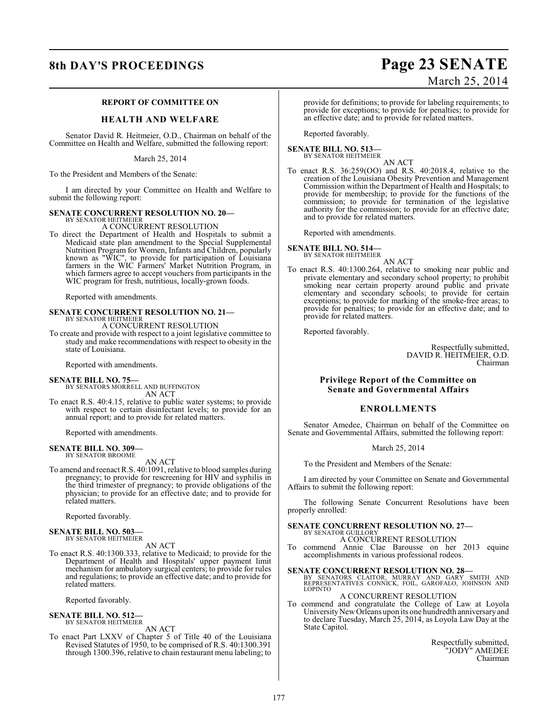## **8th DAY'S PROCEEDINGS Page 23 SENATE**

### **REPORT OF COMMITTEE ON**

#### **HEALTH AND WELFARE**

Senator David R. Heitmeier, O.D., Chairman on behalf of the Committee on Health and Welfare, submitted the following report:

March 25, 2014

To the President and Members of the Senate:

I am directed by your Committee on Health and Welfare to submit the following report:

#### **SENATE CONCURRENT RESOLUTION NO. 20—**

BY SENATOR HEITMEIER A CONCURRENT RESOLUTION

To direct the Department of Health and Hospitals to submit a Medicaid state plan amendment to the Special Supplemental Nutrition Program for Women, Infants and Children, popularly known as "WIC", to provide for participation of Louisiana farmers in the WIC Farmers' Market Nutrition Program, in which farmers agree to accept vouchers from participants in the WIC program for fresh, nutritious, locally-grown foods.

Reported with amendments.

#### **SENATE CONCURRENT RESOLUTION NO. 21—** BY SENATOR HEITMEIER

A CONCURRENT RESOLUTION

To create and provide with respect to a joint legislative committee to study and make recommendations with respect to obesity in the state of Louisiana.

Reported with amendments.

#### **SENATE BILL NO. 75—**

- BY SENATORS MORRELL AND BUFFINGTON AN ACT
- To enact R.S. 40:4.15, relative to public water systems; to provide with respect to certain disinfectant levels; to provide for an annual report; and to provide for related matters.

Reported with amendments.

## **SENATE BILL NO. 309—** BY SENATOR BROOME

AN ACT

To amend and reenact R.S. 40:1091, relative to blood samples during pregnancy; to provide for rescreening for HIV and syphilis in the third trimester of pregnancy; to provide obligations of the physician; to provide for an effective date; and to provide for related matters.

Reported favorably.

#### **SENATE BILL NO. 503—** BY SENATOR HEITMEIER

#### AN ACT

To enact R.S. 40:1300.333, relative to Medicaid; to provide for the Department of Health and Hospitals' upper payment limit mechanism for ambulatory surgical centers; to provide for rules and regulations; to provide an effective date; and to provide for related matters.

Reported favorably.

#### **SENATE BILL NO. 512—** BY SENATOR HEITMEIER

AN ACT

To enact Part LXXV of Chapter 5 of Title 40 of the Louisiana Revised Statutes of 1950, to be comprised of R.S. 40:1300.391 through 1300.396, relative to chain restaurant menu labeling; to

# March 25, 2014

provide for definitions; to provide for labeling requirements; to provide for exceptions; to provide for penalties; to provide for an effective date; and to provide for related matters.

Reported favorably.

#### **SENATE BILL NO. 513—** BY SENATOR HEITMEIER

AN ACT

To enact R.S. 36:259(OO) and R.S. 40:2018.4, relative to the creation of the Louisiana Obesity Prevention and Management Commission within the Department of Health and Hospitals; to provide for membership; to provide for the functions of the commission; to provide for termination of the legislative authority for the commission; to provide for an effective date; and to provide for related matters.

Reported with amendments.

#### **SENATE BILL NO. 514—** BY SENATOR HEITMEIER

AN ACT

To enact R.S. 40:1300.264, relative to smoking near public and private elementary and secondary school property; to prohibit smoking near certain property around public and private elementary and secondary schools; to provide for certain exceptions; to provide for marking of the smoke-free areas; to provide for penalties; to provide for an effective date; and to provide for related matters.

Reported favorably.

Respectfully submitted, DAVID R. HEITMEIER, O.D. Chairman

#### **Privilege Report of the Committee on Senate and Governmental Affairs**

#### **ENROLLMENTS**

Senator Amedee, Chairman on behalf of the Committee on Senate and Governmental Affairs, submitted the following report:

#### March 25, 2014

To the President and Members of the Senate:

I am directed by your Committee on Senate and Governmental Affairs to submit the following report:

The following Senate Concurrent Resolutions have been properly enrolled:

#### **SENATE CONCURRENT RESOLUTION NO. 27—** BY SENATOR GUILLORY

A CONCURRENT RESOLUTION To commend Annie Clae Barousse on her 2013 equine

accomplishments in various professional rodeos.

# **SENATE CONCURRENT RESOLUTION NO. 28**<br>BY SENATORS CLAITOR, MURRAY AND GARY SMITH AND<br>REPRESENTATIVES CONNICK, FOIL, GAROFALO, JOHNSON AND

LOPINTO A CONCURRENT RESOLUTION

To commend and congratulate the College of Law at Loyola University New Orleans upon its one hundredth anniversary and to declare Tuesday, March 25, 2014, as Loyola Law Day at the State Capitol.

> Respectfully submitted, "JODY" AMEDEE Chairman